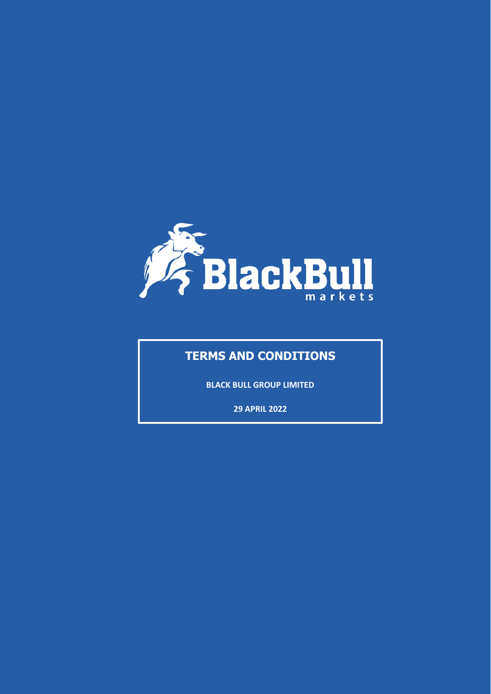

# **TERMS AND CONDITIONS**

**BLACK BULL GROUP LIMITED**

**29 APRIL 2022**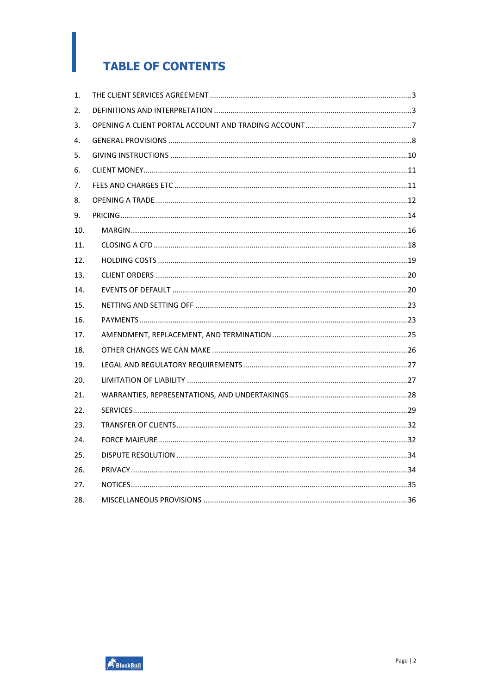# **TABLE OF CONTENTS**

| 1.  |  |
|-----|--|
| 2.  |  |
| 3.  |  |
| 4.  |  |
| 5.  |  |
| 6.  |  |
| 7.  |  |
| 8.  |  |
| 9.  |  |
| 10. |  |
| 11. |  |
| 12. |  |
| 13. |  |
| 14. |  |
| 15. |  |
| 16. |  |
| 17. |  |
| 18. |  |
| 19. |  |
| 20. |  |
| 21. |  |
| 22. |  |
| 23. |  |
| 24. |  |
| 25. |  |
| 26. |  |
| 27. |  |
| 28. |  |

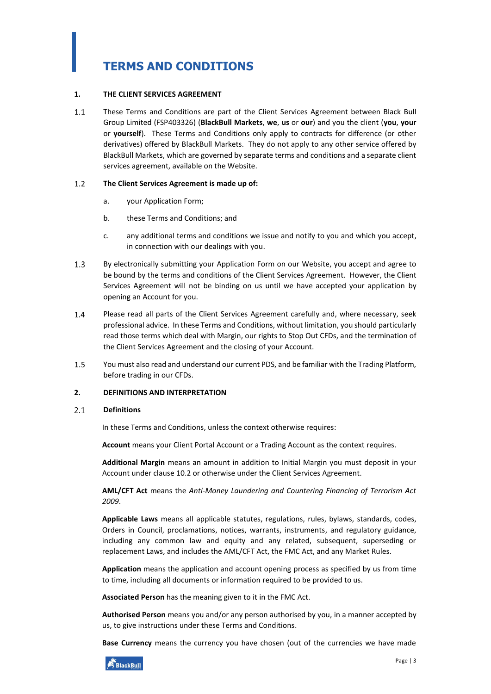# **TERMS AND CONDITIONS**

### <span id="page-2-0"></span>**1. THE CLIENT SERVICES AGREEMENT**

 $1.1$ These Terms and Conditions are part of the Client Services Agreement between Black Bull Group Limited (FSP403326) (**BlackBull Markets**, **we**, **us** or **our**) and you the client (**you**, **your** or **yourself**). These Terms and Conditions only apply to contracts for difference (or other derivatives) offered by BlackBull Markets. They do not apply to any other service offered by BlackBull Markets, which are governed by separate terms and conditions and a separate client services agreement, available on the Website.

#### $1.2$ **The Client Services Agreement is made up of:**

- a. your Application Form;
- b. these Terms and Conditions; and
- c. any additional terms and conditions we issue and notify to you and which you accept, in connection with our dealings with you.
- $1.3$ By electronically submitting your Application Form on our Website, you accept and agree to be bound by the terms and conditions of the Client Services Agreement. However, the Client Services Agreement will not be binding on us until we have accepted your application by opening an Account for you.
- $1.4$ Please read all parts of the Client Services Agreement carefully and, where necessary, seek professional advice. In these Terms and Conditions, without limitation, you should particularly read those terms which deal with Margin, our rights to Stop Out CFDs, and the termination of the Client Services Agreement and the closing of your Account.
- 1.5 You must also read and understand our current PDS, and be familiar with the Trading Platform, before trading in our CFDs.

# <span id="page-2-1"></span>**2. DEFINITIONS AND INTERPRETATION**

#### $2.1$ **Definitions**

In these Terms and Conditions, unless the context otherwise requires:

**Account** means your Client Portal Account or a Trading Account as the context requires.

**Additional Margin** means an amount in addition to Initial Margin you must deposit in your Account under clause [10.2](#page-15-1) or otherwise under the Client Services Agreement.

**AML/CFT Act** means the *Anti-Money Laundering and Countering Financing of Terrorism Act 2009*.

**Applicable Laws** means all applicable statutes, regulations, rules, bylaws, standards, codes, Orders in Council, proclamations, notices, warrants, instruments, and regulatory guidance, including any common law and equity and any related, subsequent, superseding or replacement Laws, and includes the AML/CFT Act, the FMC Act, and any Market Rules.

**Application** means the application and account opening process as specified by us from time to time, including all documents or information required to be provided to us.

**Associated Person** has the meaning given to it in the FMC Act.

**Authorised Person** means you and/or any person authorised by you, in a manner accepted by us, to give instructions under these Terms and Conditions.

**Base Currency** means the currency you have chosen (out of the currencies we have made

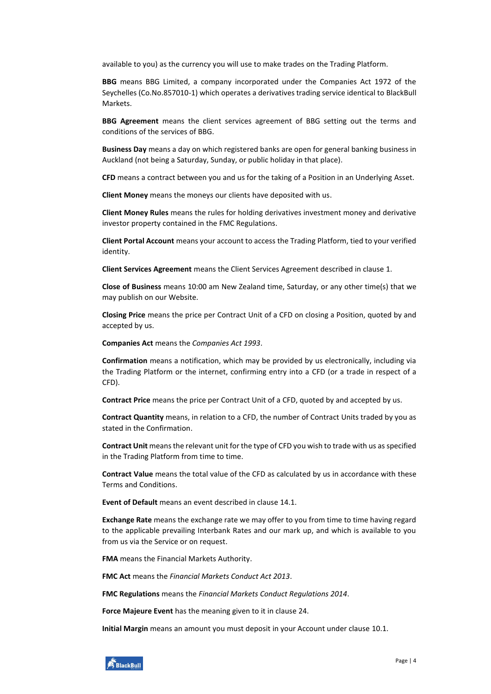available to you) as the currency you will use to make trades on the Trading Platform.

**BBG** means BBG Limited, a company incorporated under the Companies Act 1972 of the Seychelles (Co.No.857010-1) which operates a derivatives trading service identical to BlackBull Markets.

**BBG Agreement** means the client services agreement of BBG setting out the terms and conditions of the services of BBG.

**Business Day** means a day on which registered banks are open for general banking business in Auckland (not being a Saturday, Sunday, or public holiday in that place).

**CFD** means a contract between you and us for the taking of a Position in an Underlying Asset.

**Client Money** means the moneys our clients have deposited with us.

**Client Money Rules** means the rules for holding derivatives investment money and derivative investor property contained in the FMC Regulations.

**Client Portal Account** means your account to access the Trading Platform, tied to your verified identity.

**Client Services Agreement** means the Client Services Agreement described in clause [1.](#page-2-0)

**Close of Business** means 10:00 am New Zealand time, Saturday, or any other time(s) that we may publish on our Website.

**Closing Price** means the price per Contract Unit of a CFD on closing a Position, quoted by and accepted by us.

**Companies Act** means the *Companies Act 1993*.

**Confirmation** means a notification, which may be provided by us electronically, including via the Trading Platform or the internet, confirming entry into a CFD (or a trade in respect of a CFD).

**Contract Price** means the price per Contract Unit of a CFD, quoted by and accepted by us.

**Contract Quantity** means, in relation to a CFD, the number of Contract Units traded by you as stated in the Confirmation.

**Contract Unit** means the relevant unit for the type of CFD you wish to trade with us as specified in the Trading Platform from time to time.

**Contract Value** means the total value of the CFD as calculated by us in accordance with these Terms and Conditions.

**Event of Default** means an event described in clause [14.1.](#page-19-2)

**Exchange Rate** means the exchange rate we may offer to you from time to time having regard to the applicable prevailing Interbank Rates and our mark up, and which is available to you from us via the Service or on request.

**FMA** means the Financial Markets Authority.

**FMC Act** means the *Financial Markets Conduct Act 2013*.

**FMC Regulations** means the *Financial Markets Conduct Regulations 2014*.

**Force Majeure Event** has the meaning given to it in clause [24.](#page-31-1)

**Initial Margin** means an amount you must deposit in your Account under clause [10.1.](#page-15-2)

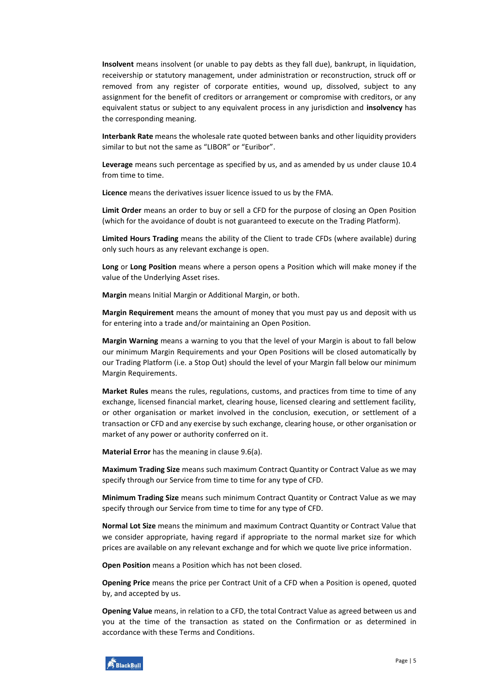**Insolvent** means insolvent (or unable to pay debts as they fall due), bankrupt, in liquidation, receivership or statutory management, under administration or reconstruction, struck off or removed from any register of corporate entities, wound up, dissolved, subject to any assignment for the benefit of creditors or arrangement or compromise with creditors, or any equivalent status or subject to any equivalent process in any jurisdiction and **insolvency** has the corresponding meaning.

**Interbank Rate** means the wholesale rate quoted between banks and other liquidity providers similar to but not the same as "LIBOR" or "Euribor".

**Leverage** means such percentage as specified by us, and as amended by us under clause [10.4](#page-16-0) from time to time.

**Licence** means the derivatives issuer licence issued to us by the FMA.

**Limit Order** means an order to buy or sell a CFD for the purpose of closing an Open Position (which for the avoidance of doubt is not guaranteed to execute on the Trading Platform).

**Limited Hours Trading** means the ability of the Client to trade CFDs (where available) during only such hours as any relevant exchange is open.

**Long** or **Long Position** means where a person opens a Position which will make money if the value of the Underlying Asset rises.

**Margin** means Initial Margin or Additional Margin, or both.

**Margin Requirement** means the amount of money that you must pay us and deposit with us for entering into a trade and/or maintaining an Open Position.

**Margin Warning** means a warning to you that the level of your Margin is about to fall below our minimum Margin Requirements and your Open Positions will be closed automatically by our Trading Platform (i.e. a Stop Out) should the level of your Margin fall below our minimum Margin Requirements.

**Market Rules** means the rules, regulations, customs, and practices from time to time of any exchange, licensed financial market, clearing house, licensed clearing and settlement facility, or other organisation or market involved in the conclusion, execution, or settlement of a transaction or CFD and any exercise by such exchange, clearing house, or other organisation or market of any power or authority conferred on it.

**Material Error** has the meaning in clause [9.6\(](#page-14-0)[a\)](#page-14-1).

**Maximum Trading Size** means such maximum Contract Quantity or Contract Value as we may specify through our Service from time to time for any type of CFD.

**Minimum Trading Size** means such minimum Contract Quantity or Contract Value as we may specify through our Service from time to time for any type of CFD.

**Normal Lot Size** means the minimum and maximum Contract Quantity or Contract Value that we consider appropriate, having regard if appropriate to the normal market size for which prices are available on any relevant exchange and for which we quote live price information.

**Open Position** means a Position which has not been closed.

**Opening Price** means the price per Contract Unit of a CFD when a Position is opened, quoted by, and accepted by us.

**Opening Value** means, in relation to a CFD, the total Contract Value as agreed between us and you at the time of the transaction as stated on the Confirmation or as determined in accordance with these Terms and Conditions.

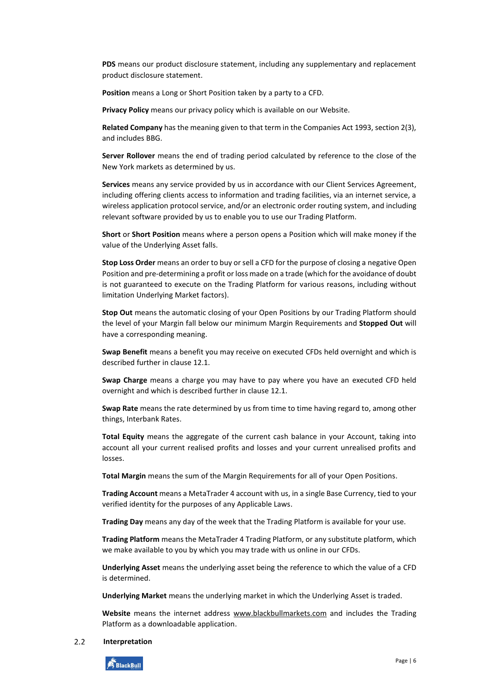**PDS** means our product disclosure statement, including any supplementary and replacement product disclosure statement.

**Position** means a Long or Short Position taken by a party to a CFD.

**Privacy Policy** means our privacy policy which is available on our Website.

**Related Company** has the meaning given to that term in the Companies Act 1993, section 2(3), and includes BBG.

**Server Rollover** means the end of trading period calculated by reference to the close of the New York markets as determined by us.

**Services** means any service provided by us in accordance with our Client Services Agreement, including offering clients access to information and trading facilities, via an internet service, a wireless application protocol service, and/or an electronic order routing system, and including relevant software provided by us to enable you to use our Trading Platform.

**Short** or **Short Position** means where a person opens a Position which will make money if the value of the Underlying Asset falls.

**Stop Loss Order** means an order to buy or sell a CFD for the purpose of closing a negative Open Position and pre-determining a profit or loss made on a trade (which for the avoidance of doubt is not guaranteed to execute on the Trading Platform for various reasons, including without limitation Underlying Market factors).

**Stop Out** means the automatic closing of your Open Positions by our Trading Platform should the level of your Margin fall below our minimum Margin Requirements and **Stopped Out** will have a corresponding meaning.

**Swap Benefit** means a benefit you may receive on executed CFDs held overnight and which is described further in claus[e 12.1.](#page-18-1)

**Swap Charge** means a charge you may have to pay where you have an executed CFD held overnight and which is described further in claus[e 12.1.](#page-18-1)

**Swap Rate** means the rate determined by us from time to time having regard to, among other things, Interbank Rates.

**Total Equity** means the aggregate of the current cash balance in your Account, taking into account all your current realised profits and losses and your current unrealised profits and losses.

**Total Margin** means the sum of the Margin Requirements for all of your Open Positions.

**Trading Account** means a MetaTrader 4 account with us, in a single Base Currency, tied to your verified identity for the purposes of any Applicable Laws.

**Trading Day** means any day of the week that the Trading Platform is available for your use.

**Trading Platform** means the MetaTrader 4 Trading Platform, or any substitute platform, which we make available to you by which you may trade with us online in our CFDs.

**Underlying Asset** means the underlying asset being the reference to which the value of a CFD is determined.

**Underlying Market** means the underlying market in which the Underlying Asset is traded.

**Website** means the internet address [www.blackbullmarkets.com](http://www.blackbullmarkets.com/) and includes the Trading Platform as a downloadable application.

#### $2.2$ **Interpretation**

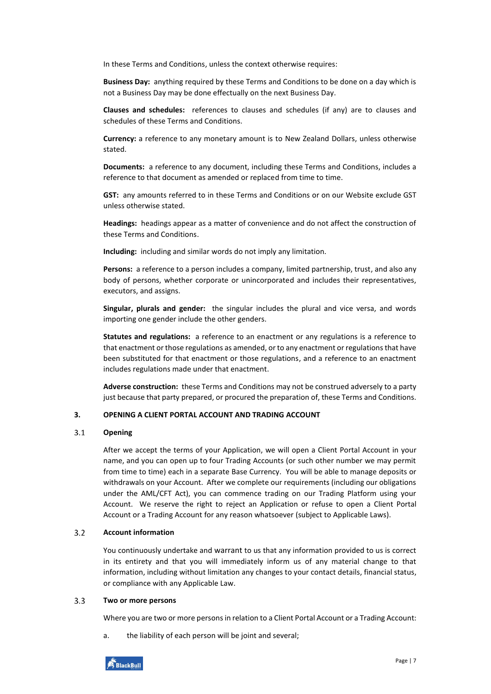In these Terms and Conditions, unless the context otherwise requires:

**Business Day:** anything required by these Terms and Conditions to be done on a day which is not a Business Day may be done effectually on the next Business Day.

**Clauses and schedules:** references to clauses and schedules (if any) are to clauses and schedules of these Terms and Conditions.

**Currency:** a reference to any monetary amount is to New Zealand Dollars, unless otherwise stated.

**Documents:** a reference to any document, including these Terms and Conditions, includes a reference to that document as amended or replaced from time to time.

**GST:** any amounts referred to in these Terms and Conditions or on our Website exclude GST unless otherwise stated.

**Headings:** headings appear as a matter of convenience and do not affect the construction of these Terms and Conditions.

**Including:** including and similar words do not imply any limitation.

**Persons:** a reference to a person includes a company, limited partnership, trust, and also any body of persons, whether corporate or unincorporated and includes their representatives, executors, and assigns.

**Singular, plurals and gender:** the singular includes the plural and vice versa, and words importing one gender include the other genders.

**Statutes and regulations:** a reference to an enactment or any regulations is a reference to that enactment or those regulations as amended, or to any enactment or regulations that have been substituted for that enactment or those regulations, and a reference to an enactment includes regulations made under that enactment.

**Adverse construction:** these Terms and Conditions may not be construed adversely to a party just because that party prepared, or procured the preparation of, these Terms and Conditions.

### <span id="page-6-0"></span>**3. OPENING A CLIENT PORTAL ACCOUNT AND TRADING ACCOUNT**

#### $3.1$ **Opening**

After we accept the terms of your Application, we will open a Client Portal Account in your name, and you can open up to four Trading Accounts (or such other number we may permit from time to time) each in a separate Base Currency. You will be able to manage deposits or withdrawals on your Account. After we complete our requirements (including our obligations under the AML/CFT Act), you can commence trading on our Trading Platform using your Account. We reserve the right to reject an Application or refuse to open a Client Portal Account or a Trading Account for any reason whatsoever (subject to Applicable Laws).

#### $3.2$ **Account information**

You continuously undertake and warrant to us that any information provided to us is correct in its entirety and that you will immediately inform us of any material change to that information, including without limitation any changes to your contact details, financial status, or compliance with any Applicable Law.

#### $3.3$ **Two or more persons**

Where you are two or more persons in relation to a Client Portal Account or a Trading Account:

a. the liability of each person will be joint and several;

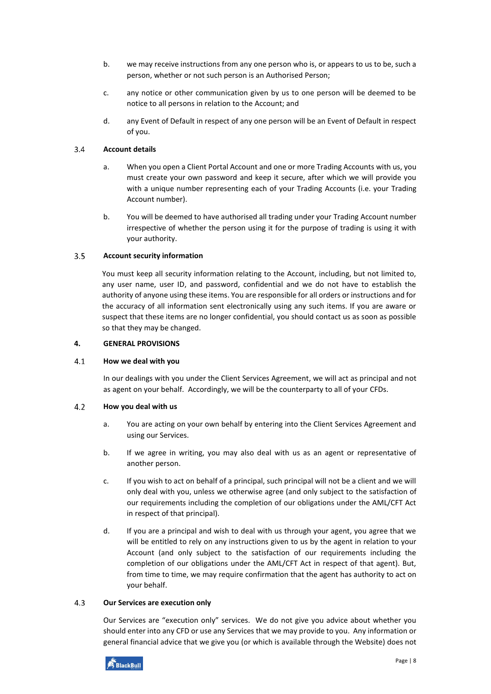- b. we may receive instructions from any one person who is, or appears to us to be, such a person, whether or not such person is an Authorised Person;
- c. any notice or other communication given by us to one person will be deemed to be notice to all persons in relation to the Account; and
- d. any Event of Default in respect of any one person will be an Event of Default in respect of you.

#### $3.4$ **Account details**

- a. When you open a Client Portal Account and one or more Trading Accounts with us, you must create your own password and keep it secure, after which we will provide you with a unique number representing each of your Trading Accounts (i.e. your Trading Account number).
- b. You will be deemed to have authorised all trading under your Trading Account number irrespective of whether the person using it for the purpose of trading is using it with your authority.

#### $3.5$ **Account security information**

You must keep all security information relating to the Account, including, but not limited to, any user name, user ID, and password, confidential and we do not have to establish the authority of anyone using these items. You are responsible for all orders or instructions and for the accuracy of all information sent electronically using any such items. If you are aware or suspect that these items are no longer confidential, you should contact us as soon as possible so that they may be changed.

# <span id="page-7-0"></span>**4. GENERAL PROVISIONS**

#### $4.1$ **How we deal with you**

In our dealings with you under the Client Services Agreement, we will act as principal and not as agent on your behalf. Accordingly, we will be the counterparty to all of your CFDs.

#### $4.2$ **How you deal with us**

- a. You are acting on your own behalf by entering into the Client Services Agreement and using our Services.
- b. If we agree in writing, you may also deal with us as an agent or representative of another person.
- c. If you wish to act on behalf of a principal, such principal will not be a client and we will only deal with you, unless we otherwise agree (and only subject to the satisfaction of our requirements including the completion of our obligations under the AML/CFT Act in respect of that principal).
- d. If you are a principal and wish to deal with us through your agent, you agree that we will be entitled to rely on any instructions given to us by the agent in relation to your Account (and only subject to the satisfaction of our requirements including the completion of our obligations under the AML/CFT Act in respect of that agent). But, from time to time, we may require confirmation that the agent has authority to act on your behalf.

#### $4.3$ **Our Services are execution only**

Our Services are "execution only" services. We do not give you advice about whether you should enter into any CFD or use any Services that we may provide to you. Any information or general financial advice that we give you (or which is available through the Website) does not

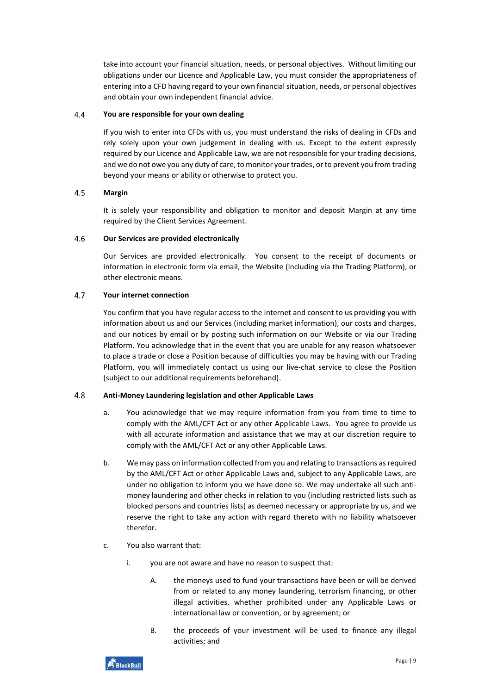take into account your financial situation, needs, or personal objectives. Without limiting our obligations under our Licence and Applicable Law, you must consider the appropriateness of entering into a CFD having regard to your own financial situation, needs, or personal objectives and obtain your own independent financial advice.

#### $4.4$ **You are responsible for your own dealing**

If you wish to enter into CFDs with us, you must understand the risks of dealing in CFDs and rely solely upon your own judgement in dealing with us. Except to the extent expressly required by our Licence and Applicable Law, we are not responsible for your trading decisions, and we do not owe you any duty of care, to monitor your trades, or to prevent you from trading beyond your means or ability or otherwise to protect you.

#### 4.5 **Margin**

It is solely your responsibility and obligation to monitor and deposit Margin at any time required by the Client Services Agreement.

#### $4.6$ **Our Services are provided electronically**

Our Services are provided electronically. You consent to the receipt of documents or information in electronic form via email, the Website (including via the Trading Platform), or other electronic means.

#### $4.7$ **Your internet connection**

You confirm that you have regular access to the internet and consent to us providing you with information about us and our Services (including market information), our costs and charges, and our notices by email or by posting such information on our Website or via our Trading Platform. You acknowledge that in the event that you are unable for any reason whatsoever to place a trade or close a Position because of difficulties you may be having with our Trading Platform, you will immediately contact us using our live-chat service to close the Position (subject to our additional requirements beforehand).

#### 4.8 **Anti-Money Laundering legislation and other Applicable Laws**

- a. You acknowledge that we may require information from you from time to time to comply with the AML/CFT Act or any other Applicable Laws. You agree to provide us with all accurate information and assistance that we may at our discretion require to comply with the AML/CFT Act or any other Applicable Laws.
- b. We may pass on information collected from you and relating to transactions as required by the AML/CFT Act or other Applicable Laws and, subject to any Applicable Laws, are under no obligation to inform you we have done so. We may undertake all such antimoney laundering and other checks in relation to you (including restricted lists such as blocked persons and countries lists) as deemed necessary or appropriate by us, and we reserve the right to take any action with regard thereto with no liability whatsoever therefor.
- c. You also warrant that:
	- i. you are not aware and have no reason to suspect that:
		- A. the moneys used to fund your transactions have been or will be derived from or related to any money laundering, terrorism financing, or other illegal activities, whether prohibited under any Applicable Laws or international law or convention, or by agreement; or
		- B. the proceeds of your investment will be used to finance any illegal activities; and

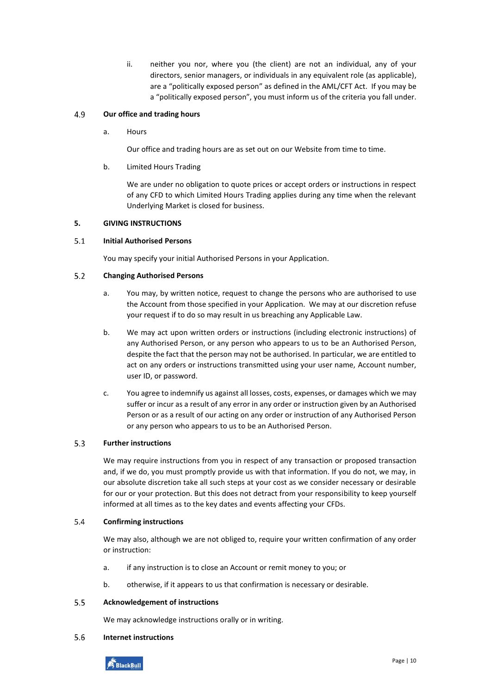ii. neither you nor, where you (the client) are not an individual, any of your directors, senior managers, or individuals in any equivalent role (as applicable), are a "politically exposed person" as defined in the AML/CFT Act. If you may be a "politically exposed person", you must inform us of the criteria you fall under.

#### 4.9 **Our office and trading hours**

a. Hours

Our office and trading hours are as set out on our Website from time to time.

b. Limited Hours Trading

We are under no obligation to quote prices or accept orders or instructions in respect of any CFD to which Limited Hours Trading applies during any time when the relevant Underlying Market is closed for business.

# <span id="page-9-0"></span>**5. GIVING INSTRUCTIONS**

#### $5.1$ **Initial Authorised Persons**

You may specify your initial Authorised Persons in your Application.

#### $5.2$ **Changing Authorised Persons**

- a. You may, by written notice, request to change the persons who are authorised to use the Account from those specified in your Application. We may at our discretion refuse your request if to do so may result in us breaching any Applicable Law.
- b. We may act upon written orders or instructions (including electronic instructions) of any Authorised Person, or any person who appears to us to be an Authorised Person, despite the fact that the person may not be authorised. In particular, we are entitled to act on any orders or instructions transmitted using your user name, Account number, user ID, or password.
- c. You agree to indemnify us against all losses, costs, expenses, or damages which we may suffer or incur as a result of any error in any order or instruction given by an Authorised Person or as a result of our acting on any order or instruction of any Authorised Person or any person who appears to us to be an Authorised Person.

#### $5.3$ **Further instructions**

We may require instructions from you in respect of any transaction or proposed transaction and, if we do, you must promptly provide us with that information. If you do not, we may, in our absolute discretion take all such steps at your cost as we consider necessary or desirable for our or your protection. But this does not detract from your responsibility to keep yourself informed at all times as to the key dates and events affecting your CFDs.

#### $5.4$ **Confirming instructions**

We may also, although we are not obliged to, require your written confirmation of any order or instruction:

- a. if any instruction is to close an Account or remit money to you; or
- b. otherwise, if it appears to us that confirmation is necessary or desirable.

#### $5.5$ **Acknowledgement of instructions**

We may acknowledge instructions orally or in writing.

#### $5.6$ **Internet instructions**

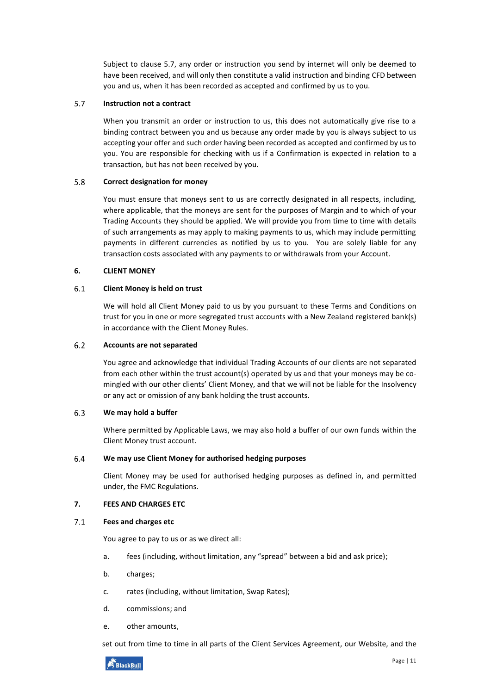Subject to clause [5.7,](#page-10-2) any order or instruction you send by internet will only be deemed to have been received, and will only then constitute a valid instruction and binding CFD between you and us, when it has been recorded as accepted and confirmed by us to you.

#### <span id="page-10-2"></span> $5.7$ **Instruction not a contract**

When you transmit an order or instruction to us, this does not automatically give rise to a binding contract between you and us because any order made by you is always subject to us accepting your offer and such order having been recorded as accepted and confirmed by us to you. You are responsible for checking with us if a Confirmation is expected in relation to a transaction, but has not been received by you.

#### 5.8 **Correct designation for money**

You must ensure that moneys sent to us are correctly designated in all respects, including, where applicable, that the moneys are sent for the purposes of Margin and to which of your Trading Accounts they should be applied. We will provide you from time to time with details of such arrangements as may apply to making payments to us, which may include permitting payments in different currencies as notified by us to you. You are solely liable for any transaction costs associated with any payments to or withdrawals from your Account.

### <span id="page-10-0"></span>**6. CLIENT MONEY**

#### $6.1$ **Client Money is held on trust**

We will hold all Client Money paid to us by you pursuant to these Terms and Conditions on trust for you in one or more segregated trust accounts with a New Zealand registered bank(s) in accordance with the Client Money Rules.

#### $6.2$ **Accounts are not separated**

You agree and acknowledge that individual Trading Accounts of our clients are not separated from each other within the trust account(s) operated by us and that your moneys may be comingled with our other clients' Client Money, and that we will not be liable for the Insolvency or any act or omission of any bank holding the trust accounts.

#### $6.3$ **We may hold a buffer**

Where permitted by Applicable Laws, we may also hold a buffer of our own funds within the Client Money trust account.

#### 6.4 **We may use Client Money for authorised hedging purposes**

Client Money may be used for authorised hedging purposes as defined in, and permitted under, the FMC Regulations.

# <span id="page-10-1"></span>**7. FEES AND CHARGES ETC**

#### $7.1$ **Fees and charges etc**

You agree to pay to us or as we direct all:

- a. fees (including, without limitation, any "spread" between a bid and ask price);
- b. charges;
- c. rates (including, without limitation, Swap Rates);
- d. commissions; and
- e. other amounts,

set out from time to time in all parts of the Client Services Agreement, our Website, and the

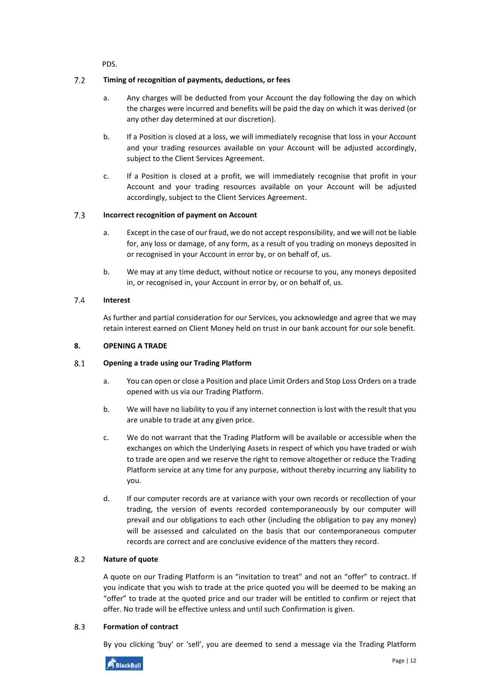PDS.

#### $7.2$ **Timing of recognition of payments, deductions, or fees**

- a. Any charges will be deducted from your Account the day following the day on which the charges were incurred and benefits will be paid the day on which it was derived (or any other day determined at our discretion).
- b. If a Position is closed at a loss, we will immediately recognise that loss in your Account and your trading resources available on your Account will be adjusted accordingly, subject to the Client Services Agreement.
- c. If a Position is closed at a profit, we will immediately recognise that profit in your Account and your trading resources available on your Account will be adjusted accordingly, subject to the Client Services Agreement.

#### $7.3$ **Incorrect recognition of payment on Account**

- a. Except in the case of our fraud, we do not accept responsibility, and we will not be liable for, any loss or damage, of any form, as a result of you trading on moneys deposited in or recognised in your Account in error by, or on behalf of, us.
- b. We may at any time deduct, without notice or recourse to you, any moneys deposited in, or recognised in, your Account in error by, or on behalf of, us.

#### 7.4 **Interest**

As further and partial consideration for our Services, you acknowledge and agree that we may retain interest earned on Client Money held on trust in our bank account for our sole benefit.

# <span id="page-11-0"></span>**8. OPENING A TRADE**

#### $8.1$ **Opening a trade using our Trading Platform**

- a. You can open or close a Position and place Limit Orders and Stop Loss Orders on a trade opened with us via our Trading Platform.
- b. We will have no liability to you if any internet connection is lost with the result that you are unable to trade at any given price.
- c. We do not warrant that the Trading Platform will be available or accessible when the exchanges on which the Underlying Assets in respect of which you have traded or wish to trade are open and we reserve the right to remove altogether or reduce the Trading Platform service at any time for any purpose, without thereby incurring any liability to you.
- d. If our computer records are at variance with your own records or recollection of your trading, the version of events recorded contemporaneously by our computer will prevail and our obligations to each other (including the obligation to pay any money) will be assessed and calculated on the basis that our contemporaneous computer records are correct and are conclusive evidence of the matters they record.

#### $8.2$ **Nature of quote**

A quote on our Trading Platform is an "invitation to treat" and not an "offer" to contract. If you indicate that you wish to trade at the price quoted you will be deemed to be making an "offer" to trade at the quoted price and our trader will be entitled to confirm or reject that offer. No trade will be effective unless and until such Confirmation is given.

#### 8.3 **Formation of contract**

By you clicking 'buy' or 'sell', you are deemed to send a message via the Trading Platform

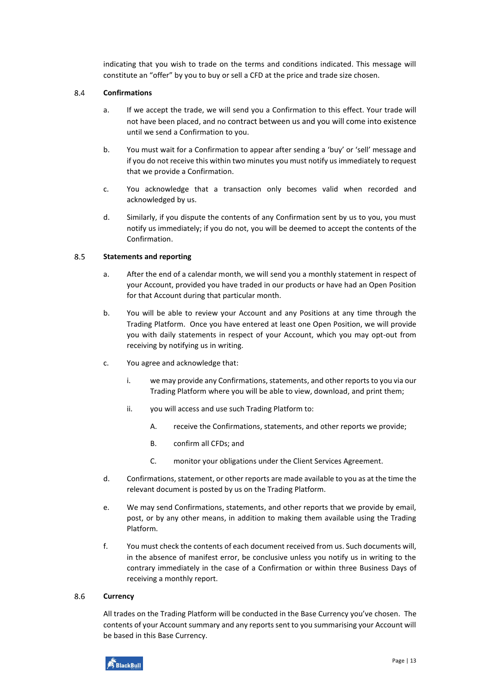indicating that you wish to trade on the terms and conditions indicated. This message will constitute an "offer" by you to buy or sell a CFD at the price and trade size chosen.

#### 8.4 **Confirmations**

- a. If we accept the trade, we will send you a Confirmation to this effect. Your trade will not have been placed, and no contract between us and you will come into existence until we send a Confirmation to you.
- b. You must wait for a Confirmation to appear after sending a 'buy' or 'sell' message and if you do not receive this within two minutes you must notify us immediately to request that we provide a Confirmation.
- c. You acknowledge that a transaction only becomes valid when recorded and acknowledged by us.
- d. Similarly, if you dispute the contents of any Confirmation sent by us to you, you must notify us immediately; if you do not, you will be deemed to accept the contents of the Confirmation.

#### 8.5 **Statements and reporting**

- a. After the end of a calendar month, we will send you a monthly statement in respect of your Account, provided you have traded in our products or have had an Open Position for that Account during that particular month.
- b. You will be able to review your Account and any Positions at any time through the Trading Platform. Once you have entered at least one Open Position, we will provide you with daily statements in respect of your Account, which you may opt-out from receiving by notifying us in writing.
- c. You agree and acknowledge that:
	- i. we may provide any Confirmations, statements, and other reports to you via our Trading Platform where you will be able to view, download, and print them;
	- ii. you will access and use such Trading Platform to:
		- A. receive the Confirmations, statements, and other reports we provide;
		- B. confirm all CFDs; and
		- C. monitor your obligations under the Client Services Agreement.
- d. Confirmations, statement, or other reports are made available to you as at the time the relevant document is posted by us on the Trading Platform.
- e. We may send Confirmations, statements, and other reports that we provide by email, post, or by any other means, in addition to making them available using the Trading Platform.
- f. You must check the contents of each document received from us. Such documents will, in the absence of manifest error, be conclusive unless you notify us in writing to the contrary immediately in the case of a Confirmation or within three Business Days of receiving a monthly report.

#### 8.6 **Currency**

All trades on the Trading Platform will be conducted in the Base Currency you've chosen. The contents of your Account summary and any reports sent to you summarising your Account will be based in this Base Currency.

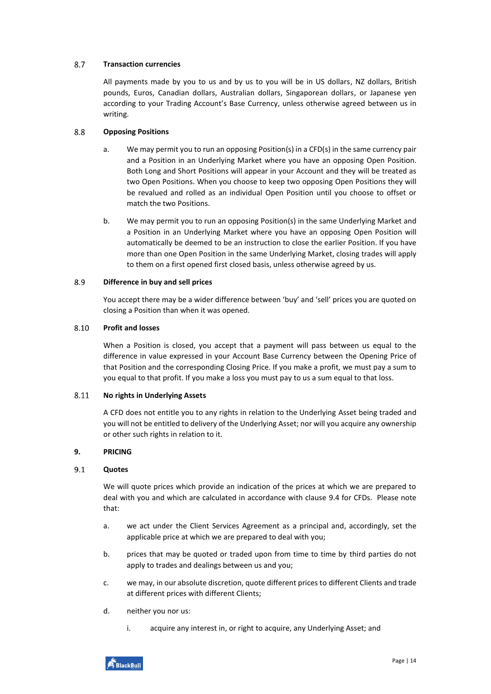#### 8.7 **Transaction currencies**

All payments made by you to us and by us to you will be in US dollars, NZ dollars, British pounds, Euros, Canadian dollars, Australian dollars, Singaporean dollars, or Japanese yen according to your Trading Account's Base Currency, unless otherwise agreed between us in writing.

#### 8.8 **Opposing Positions**

- a. We may permit you to run an opposing Position(s) in a CFD(s) in the same currency pair and a Position in an Underlying Market where you have an opposing Open Position. Both Long and Short Positions will appear in your Account and they will be treated as two Open Positions. When you choose to keep two opposing Open Positions they will be revalued and rolled as an individual Open Position until you choose to offset or match the two Positions.
- b. We may permit you to run an opposing Position(s) in the same Underlying Market and a Position in an Underlying Market where you have an opposing Open Position will automatically be deemed to be an instruction to close the earlier Position. If you have more than one Open Position in the same Underlying Market, closing trades will apply to them on a first opened first closed basis, unless otherwise agreed by us.

#### 8.9 **Difference in buy and sell prices**

You accept there may be a wider difference between 'buy' and 'sell' prices you are quoted on closing a Position than when it was opened.

#### 8.10 **Profit and losses**

When a Position is closed, you accept that a payment will pass between us equal to the difference in value expressed in your Account Base Currency between the Opening Price of that Position and the corresponding Closing Price. If you make a profit, we must pay a sum to you equal to that profit. If you make a loss you must pay to us a sum equal to that loss.

#### 8.11 **No rights in Underlying Assets**

A CFD does not entitle you to any rights in relation to the Underlying Asset being traded and you will not be entitled to delivery of the Underlying Asset; nor will you acquire any ownership or other such rights in relation to it.

# <span id="page-13-0"></span>**9. PRICING**

#### $9.1$ **Quotes**

We will quote prices which provide an indication of the prices at which we are prepared to deal with you and which are calculated in accordance with clause [9.4](#page-14-2) for CFDs. Please note that:

- a. we act under the Client Services Agreement as a principal and, accordingly, set the applicable price at which we are prepared to deal with you;
- b. prices that may be quoted or traded upon from time to time by third parties do not apply to trades and dealings between us and you;
- c. we may, in our absolute discretion, quote different prices to different Clients and trade at different prices with different Clients;
- d. neither you nor us:
	- i. acquire any interest in, or right to acquire, any Underlying Asset; and

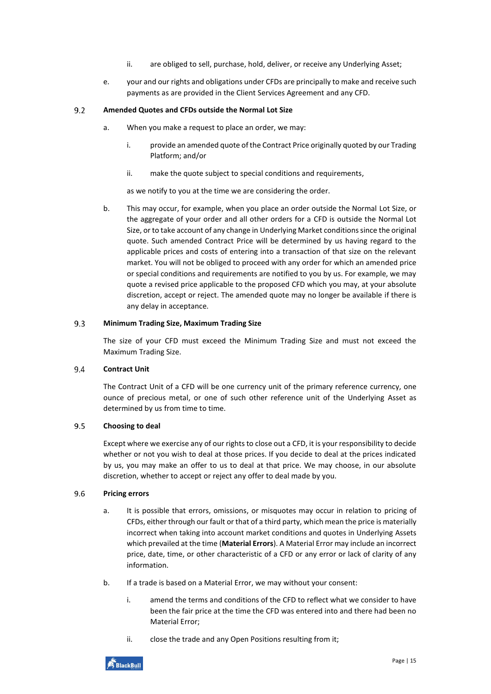- ii. are obliged to sell, purchase, hold, deliver, or receive any Underlying Asset;
- e. your and our rights and obligations under CFDs are principally to make and receive such payments as are provided in the Client Services Agreement and any CFD.

#### $9.2$ **Amended Quotes and CFDs outside the Normal Lot Size**

- a. When you make a request to place an order, we may:
	- i. provide an amended quote of the Contract Price originally quoted by our Trading Platform; and/or
	- ii. make the quote subject to special conditions and requirements,

as we notify to you at the time we are considering the order.

b. This may occur, for example, when you place an order outside the Normal Lot Size, or the aggregate of your order and all other orders for a CFD is outside the Normal Lot Size, or to take account of any change in Underlying Market conditions since the original quote. Such amended Contract Price will be determined by us having regard to the applicable prices and costs of entering into a transaction of that size on the relevant market. You will not be obliged to proceed with any order for which an amended price or special conditions and requirements are notified to you by us. For example, we may quote a revised price applicable to the proposed CFD which you may, at your absolute discretion, accept or reject. The amended quote may no longer be available if there is any delay in acceptance.

#### $9.3$ **Minimum Trading Size, Maximum Trading Size**

The size of your CFD must exceed the Minimum Trading Size and must not exceed the Maximum Trading Size.

#### <span id="page-14-2"></span>9.4 **Contract Unit**

The Contract Unit of a CFD will be one currency unit of the primary reference currency, one ounce of precious metal, or one of such other reference unit of the Underlying Asset as determined by us from time to time.

#### $9.5$ **Choosing to deal**

Except where we exercise any of our rights to close out a CFD, it is your responsibility to decide whether or not you wish to deal at those prices. If you decide to deal at the prices indicated by us, you may make an offer to us to deal at that price. We may choose, in our absolute discretion, whether to accept or reject any offer to deal made by you.

#### <span id="page-14-1"></span><span id="page-14-0"></span>9.6 **Pricing errors**

- a. It is possible that errors, omissions, or misquotes may occur in relation to pricing of CFDs, either through our fault or that of a third party, which mean the price is materially incorrect when taking into account market conditions and quotes in Underlying Assets which prevailed at the time (**Material Errors**). A Material Error may include an incorrect price, date, time, or other characteristic of a CFD or any error or lack of clarity of any information.
- <span id="page-14-3"></span>b. If a trade is based on a Material Error, we may without your consent:
	- i. amend the terms and conditions of the CFD to reflect what we consider to have been the fair price at the time the CFD was entered into and there had been no Material Error;
	- ii. close the trade and any Open Positions resulting from it;

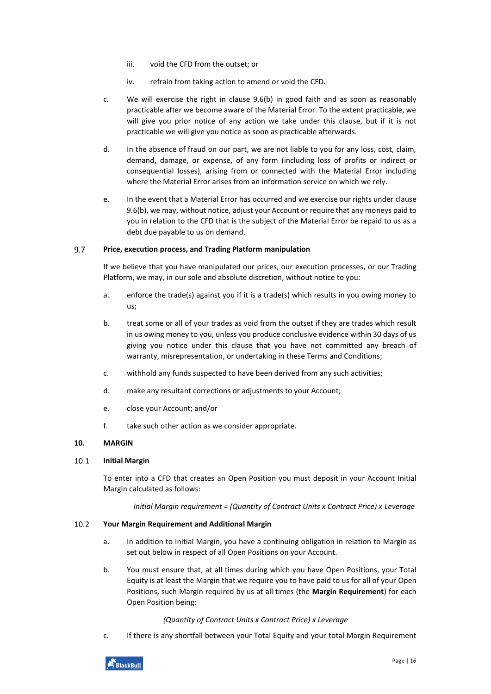- iii. void the CFD from the outset; or
- iv. refrain from taking action to amend or void the CFD.
- c. We will exercise the right in clause [9.6](#page-14-0)[\(b\)](#page-14-3) in good faith and as soon as reasonably practicable after we become aware of the Material Error. To the extent practicable, we will give you prior notice of any action we take under this clause, but if it is not practicable we will give you notice as soon as practicable afterwards.
- d. In the absence of fraud on our part, we are not liable to you for any loss, cost, claim, demand, damage, or expense, of any form (including loss of profits or indirect or consequential losses), arising from or connected with the Material Error including where the Material Error arises from an information service on which we rely.
- e. In the event that a Material Error has occurred and we exercise our rights under clause [9.6\(](#page-14-0)[b\)](#page-14-3), we may, without notice, adjust your Account or require that any moneys paid to you in relation to the CFD that is the subject of the Material Error be repaid to us as a debt due payable to us on demand.

#### 9.7 **Price, execution process, and Trading Platform manipulation**

If we believe that you have manipulated our prices, our execution processes, or our Trading Platform, we may, in our sole and absolute discretion, without notice to you:

- a. enforce the trade(s) against you if it is a trade(s) which results in you owing money to us;
- b. treat some or all of your trades as void from the outset if they are trades which result in us owing money to you, unless you produce conclusive evidence within 30 days of us giving you notice under this clause that you have not committed any breach of warranty, misrepresentation, or undertaking in these Terms and Conditions;
- c. withhold any funds suspected to have been derived from any such activities;
- d. make any resultant corrections or adjustments to your Account;
- e. close your Account; and/or
- f. take such other action as we consider appropriate.

# <span id="page-15-0"></span>**10. MARGIN**

#### <span id="page-15-2"></span> $10.1$ **Initial Margin**

To enter into a CFD that creates an Open Position you must deposit in your Account Initial Margin calculated as follows:

*Initial Margin requirement = (Quantity of Contract Units x Contract Price) x Leverage*

#### <span id="page-15-1"></span> $10.2$ **Your Margin Requirement and Additional Margin**

- a. In addition to Initial Margin, you have a continuing obligation in relation to Margin as set out below in respect of all Open Positions on your Account.
- b. You must ensure that, at all times during which you have Open Positions, your Total Equity is at least the Margin that we require you to have paid to us for all of your Open Positions, such Margin required by us at all times (the **Margin Requirement**) for each Open Position being:

# *(Quantity of Contract Units x Contract Price) x Leverage*

c. If there is any shortfall between your Total Equity and your total Margin Requirement

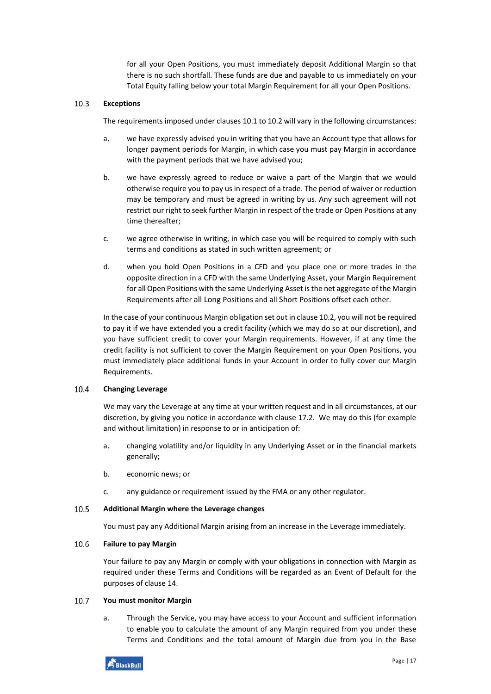for all your Open Positions, you must immediately deposit Additional Margin so that there is no such shortfall. These funds are due and payable to us immediately on your Total Equity falling below your total Margin Requirement for all your Open Positions.

#### 10.3 **Exceptions**

The requirements imposed under clause[s 10.1](#page-15-2) t[o 10.2](#page-15-1) will vary in the following circumstances:

- a. we have expressly advised you in writing that you have an Account type that allows for longer payment periods for Margin, in which case you must pay Margin in accordance with the payment periods that we have advised you;
- b. we have expressly agreed to reduce or waive a part of the Margin that we would otherwise require you to pay us in respect of a trade. The period of waiver or reduction may be temporary and must be agreed in writing by us. Any such agreement will not restrict our right to seek further Margin in respect of the trade or Open Positions at any time thereafter;
- c. we agree otherwise in writing, in which case you will be required to comply with such terms and conditions as stated in such written agreement; or
- d. when you hold Open Positions in a CFD and you place one or more trades in the opposite direction in a CFD with the same Underlying Asset, your Margin Requirement for all Open Positions with the same Underlying Asset is the net aggregate of the Margin Requirements after all Long Positions and all Short Positions offset each other.

In the case of your continuous Margin obligation set out in claus[e 10.2,](#page-15-1) you will not be required to pay it if we have extended you a credit facility (which we may do so at our discretion), and you have sufficient credit to cover your Margin requirements. However, if at any time the credit facility is not sufficient to cover the Margin Requirement on your Open Positions, you must immediately place additional funds in your Account in order to fully cover our Margin Requirements.

#### <span id="page-16-0"></span>10.4 **Changing Leverage**

We may vary the Leverage at any time at your written request and in all circumstances, at our discretion, by giving you notice in accordance with claus[e 17.2.](#page-24-1) We may do this (for example and without limitation) in response to or in anticipation of:

- a. changing volatility and/or liquidity in any Underlying Asset or in the financial markets generally;
- b. economic news; or
- c. any guidance or requirement issued by the FMA or any other regulator.

#### 10.5 **Additional Margin where the Leverage changes**

You must pay any Additional Margin arising from an increase in the Leverage immediately.

#### $10.6$ **Failure to pay Margin**

Your failure to pay any Margin or comply with your obligations in connection with Margin as required under these Terms and Conditions will be regarded as an Event of Default for the purposes of claus[e 14.](#page-19-1)

#### $10.7$ **You must monitor Margin**

a. Through the Service, you may have access to your Account and sufficient information to enable you to calculate the amount of any Margin required from you under these Terms and Conditions and the total amount of Margin due from you in the Base

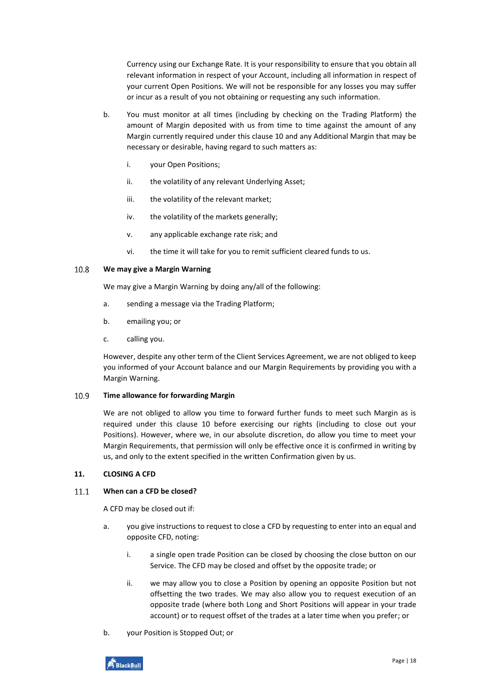Currency using our Exchange Rate. It is your responsibility to ensure that you obtain all relevant information in respect of your Account, including all information in respect of your current Open Positions. We will not be responsible for any losses you may suffer or incur as a result of you not obtaining or requesting any such information.

- b. You must monitor at all times (including by checking on the Trading Platform) the amount of Margin deposited with us from time to time against the amount of any Margin currently required under this clause [10](#page-15-0) and any Additional Margin that may be necessary or desirable, having regard to such matters as:
	- i. your Open Positions;
	- ii. the volatility of any relevant Underlying Asset;
	- iii. the volatility of the relevant market;
	- iv. the volatility of the markets generally;
	- v. any applicable exchange rate risk; and
	- vi. the time it will take for you to remit sufficient cleared funds to us.

#### 10.8 **We may give a Margin Warning**

We may give a Margin Warning by doing any/all of the following:

- a. sending a message via the Trading Platform;
- b. emailing you; or
- c. calling you.

However, despite any other term of the Client Services Agreement, we are not obliged to keep you informed of your Account balance and our Margin Requirements by providing you with a Margin Warning.

#### 10.9 **Time allowance for forwarding Margin**

We are not obliged to allow you time to forward further funds to meet such Margin as is required under this clause [10](#page-15-0) before exercising our rights (including to close out your Positions). However, where we, in our absolute discretion, do allow you time to meet your Margin Requirements, that permission will only be effective once it is confirmed in writing by us, and only to the extent specified in the written Confirmation given by us.

# <span id="page-17-0"></span>**11. CLOSING A CFD**

#### $11.1$ **When can a CFD be closed?**

A CFD may be closed out if:

- a. you give instructions to request to close a CFD by requesting to enter into an equal and opposite CFD, noting:
	- i. a single open trade Position can be closed by choosing the close button on our Service. The CFD may be closed and offset by the opposite trade; or
	- ii. we may allow you to close a Position by opening an opposite Position but not offsetting the two trades. We may also allow you to request execution of an opposite trade (where both Long and Short Positions will appear in your trade account) or to request offset of the trades at a later time when you prefer; or
- b. your Position is Stopped Out; or

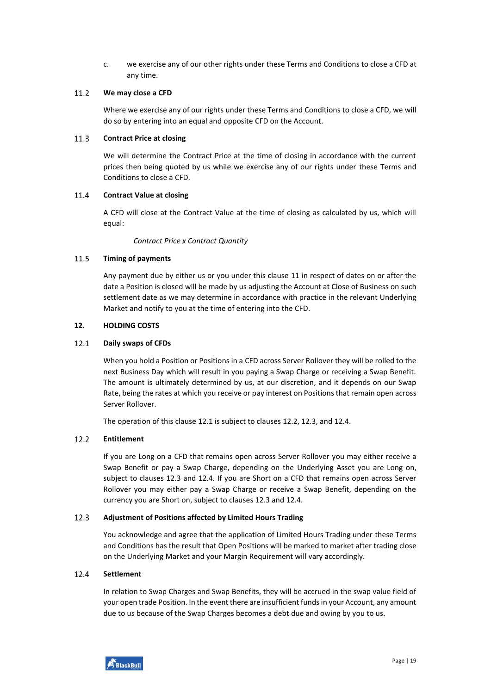c. we exercise any of our other rights under these Terms and Conditions to close a CFD at any time.

#### $11.2$ **We may close a CFD**

Where we exercise any of our rights under these Terms and Conditions to close a CFD, we will do so by entering into an equal and opposite CFD on the Account.

#### $11.3$ **Contract Price at closing**

We will determine the Contract Price at the time of closing in accordance with the current prices then being quoted by us while we exercise any of our rights under these Terms and Conditions to close a CFD.

#### $11.4$ **Contract Value at closing**

A CFD will close at the Contract Value at the time of closing as calculated by us, which will equal:

*Contract Price x Contract Quantity*

#### 11.5 **Timing of payments**

Any payment due by either us or you under this clause [11](#page-17-0) in respect of dates on or after the date a Position is closed will be made by us adjusting the Account at Close of Business on such settlement date as we may determine in accordance with practice in the relevant Underlying Market and notify to you at the time of entering into the CFD.

### <span id="page-18-0"></span>**12. HOLDING COSTS**

#### <span id="page-18-1"></span> $12.1$ **Daily swaps of CFDs**

When you hold a Position or Positions in a CFD across Server Rollover they will be rolled to the next Business Day which will result in you paying a Swap Charge or receiving a Swap Benefit. The amount is ultimately determined by us, at our discretion, and it depends on our Swap Rate, being the rates at which you receive or pay interest on Positions that remain open across Server Rollover.

The operation of this clause [12.1](#page-18-1) is subject to clauses [12.2,](#page-18-2) [12.3,](#page-18-3) an[d 12.4.](#page-18-4)

#### <span id="page-18-2"></span> $12.2$ **Entitlement**

If you are Long on a CFD that remains open across Server Rollover you may either receive a Swap Benefit or pay a Swap Charge, depending on the Underlying Asset you are Long on, subject to clauses [12.3](#page-18-3) and [12.4.](#page-18-4) If you are Short on a CFD that remains open across Server Rollover you may either pay a Swap Charge or receive a Swap Benefit, depending on the currency you are Short on, subject to clause[s 12.3](#page-18-3) and [12.4.](#page-18-4)

#### <span id="page-18-3"></span> $12.3$ **Adjustment of Positions affected by Limited Hours Trading**

You acknowledge and agree that the application of Limited Hours Trading under these Terms and Conditions has the result that Open Positions will be marked to market after trading close on the Underlying Market and your Margin Requirement will vary accordingly.

#### <span id="page-18-4"></span> $12.4$ **Settlement**

In relation to Swap Charges and Swap Benefits, they will be accrued in the swap value field of your open trade Position. In the event there are insufficient funds in your Account, any amount due to us because of the Swap Charges becomes a debt due and owing by you to us.

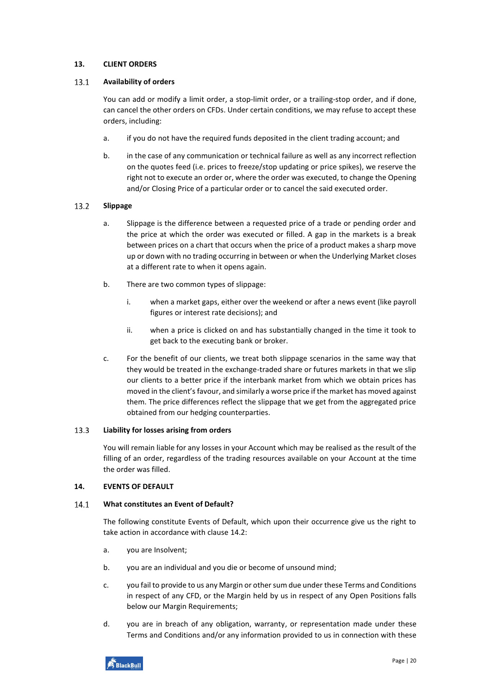# <span id="page-19-0"></span>**13. CLIENT ORDERS**

#### $13.1$ **Availability of orders**

You can add or modify a limit order, a stop-limit order, or a trailing-stop order, and if done, can cancel the other orders on CFDs. Under certain conditions, we may refuse to accept these orders, including:

- a. if you do not have the required funds deposited in the client trading account; and
- b. in the case of any communication or technical failure as well as any incorrect reflection on the quotes feed (i.e. prices to freeze/stop updating or price spikes), we reserve the right not to execute an order or, where the order was executed, to change the Opening and/or Closing Price of a particular order or to cancel the said executed order.

#### 13.2 **Slippage**

- a. Slippage is the difference between a requested price of a trade or pending order and the price at which the order was executed or filled. A gap in the markets is a break between prices on a chart that occurs when the price of a product makes a sharp move up or down with no trading occurring in between or when the Underlying Market closes at a different rate to when it opens again.
- b. There are two common types of slippage:
	- i. when a market gaps, either over the weekend or after a news event (like payroll figures or interest rate decisions); and
	- ii. when a price is clicked on and has substantially changed in the time it took to get back to the executing bank or broker.
- c. For the benefit of our clients, we treat both slippage scenarios in the same way that they would be treated in the exchange-traded share or futures markets in that we slip our clients to a better price if the interbank market from which we obtain prices has moved in the client's favour, and similarly a worse price if the market has moved against them. The price differences reflect the slippage that we get from the aggregated price obtained from our hedging counterparties.

#### 13.3 **Liability for losses arising from orders**

You will remain liable for any losses in your Account which may be realised as the result of the filling of an order, regardless of the trading resources available on your Account at the time the order was filled.

# <span id="page-19-1"></span>**14. EVENTS OF DEFAULT**

#### <span id="page-19-2"></span> $14.1$ **What constitutes an Event of Default?**

The following constitute Events of Default, which upon their occurrence give us the right to take action in accordance with claus[e 14.2:](#page-20-0)

- a. you are Insolvent;
- b. you are an individual and you die or become of unsound mind;
- c. you fail to provide to us any Margin or other sum due under these Terms and Conditions in respect of any CFD, or the Margin held by us in respect of any Open Positions falls below our Margin Requirements;
- d. you are in breach of any obligation, warranty, or representation made under these Terms and Conditions and/or any information provided to us in connection with these

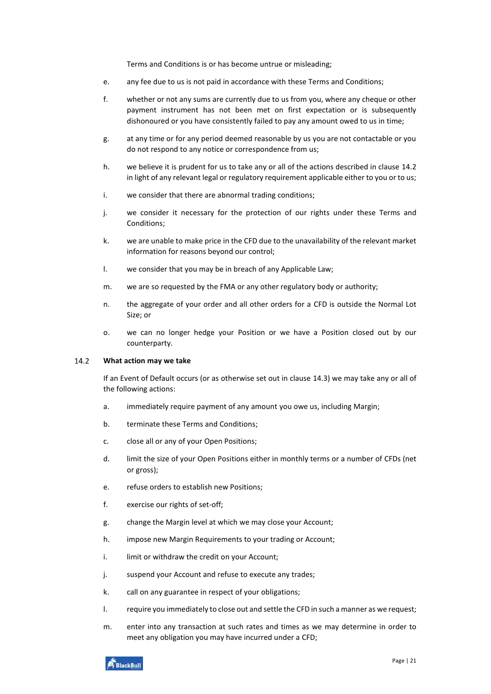Terms and Conditions is or has become untrue or misleading;

- e. any fee due to us is not paid in accordance with these Terms and Conditions;
- f. whether or not any sums are currently due to us from you, where any cheque or other payment instrument has not been met on first expectation or is subsequently dishonoured or you have consistently failed to pay any amount owed to us in time;
- g. at any time or for any period deemed reasonable by us you are not contactable or you do not respond to any notice or correspondence from us;
- h. we believe it is prudent for us to take any or all of the actions described in clause [14.2](#page-20-0) in light of any relevant legal or regulatory requirement applicable either to you or to us;
- i. we consider that there are abnormal trading conditions;
- j. we consider it necessary for the protection of our rights under these Terms and Conditions;
- k. we are unable to make price in the CFD due to the unavailability of the relevant market information for reasons beyond our control;
- l. we consider that you may be in breach of any Applicable Law;
- m. we are so requested by the FMA or any other regulatory body or authority;
- n. the aggregate of your order and all other orders for a CFD is outside the Normal Lot Size; or
- o. we can no longer hedge your Position or we have a Position closed out by our counterparty.

#### <span id="page-20-0"></span> $14.2$ **What action may we take**

If an Event of Default occurs (or as otherwise set out in clause [14.3\)](#page-21-0) we may take any or all of the following actions:

- a. immediately require payment of any amount you owe us, including Margin;
- b. terminate these Terms and Conditions;
- c. close all or any of your Open Positions;
- d. limit the size of your Open Positions either in monthly terms or a number of CFDs (net or gross);
- e. refuse orders to establish new Positions;
- f. exercise our rights of set-off;
- g. change the Margin level at which we may close your Account;
- h. impose new Margin Requirements to your trading or Account;
- i. limit or withdraw the credit on your Account;
- j. suspend your Account and refuse to execute any trades;
- k. call on any guarantee in respect of your obligations;
- l. require you immediately to close out and settle the CFD in such a manner as we request;
- m. enter into any transaction at such rates and times as we may determine in order to meet any obligation you may have incurred under a CFD;

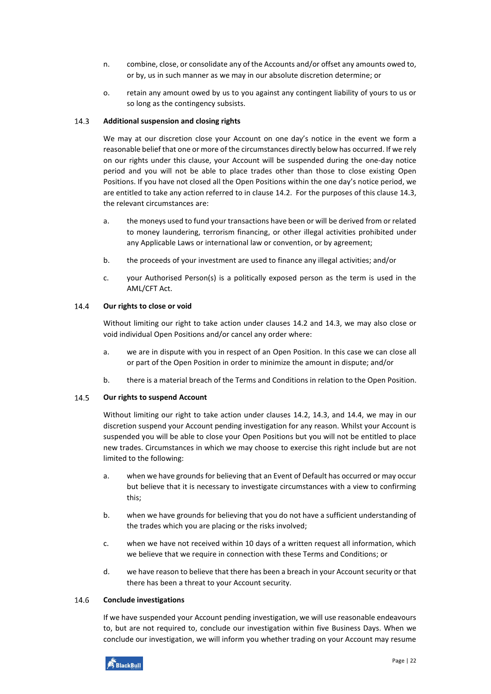- n. combine, close, or consolidate any of the Accounts and/or offset any amounts owed to, or by, us in such manner as we may in our absolute discretion determine; or
- o. retain any amount owed by us to you against any contingent liability of yours to us or so long as the contingency subsists.

#### <span id="page-21-0"></span> $14.3$ **Additional suspension and closing rights**

We may at our discretion close your Account on one day's notice in the event we form a reasonable belief that one or more of the circumstances directly below has occurred. If we rely on our rights under this clause, your Account will be suspended during the one-day notice period and you will not be able to place trades other than those to close existing Open Positions. If you have not closed all the Open Positions within the one day's notice period, we are entitled to take any action referred to in clause [14.2.](#page-20-0) For the purposes of this clause [14.3,](#page-21-0) the relevant circumstances are:

- a. the moneys used to fund your transactions have been or will be derived from or related to money laundering, terrorism financing, or other illegal activities prohibited under any Applicable Laws or international law or convention, or by agreement;
- b. the proceeds of your investment are used to finance any illegal activities; and/or
- c. your Authorised Person(s) is a politically exposed person as the term is used in the AML/CFT Act.

#### <span id="page-21-1"></span>14.4 **Our rights to close or void**

Without limiting our right to take action under clauses [14.2](#page-20-0) and [14.3,](#page-21-0) we may also close or void individual Open Positions and/or cancel any order where:

- a. we are in dispute with you in respect of an Open Position. In this case we can close all or part of the Open Position in order to minimize the amount in dispute; and/or
- b. there is a material breach of the Terms and Conditions in relation to the Open Position.

#### 14.5 **Our rights to suspend Account**

Without limiting our right to take action under clauses [14.2,](#page-20-0) [14.3,](#page-21-0) and [14.4,](#page-21-1) we may in our discretion suspend your Account pending investigation for any reason. Whilst your Account is suspended you will be able to close your Open Positions but you will not be entitled to place new trades. Circumstances in which we may choose to exercise this right include but are not limited to the following:

- a. when we have grounds for believing that an Event of Default has occurred or may occur but believe that it is necessary to investigate circumstances with a view to confirming this;
- b. when we have grounds for believing that you do not have a sufficient understanding of the trades which you are placing or the risks involved;
- c. when we have not received within 10 days of a written request all information, which we believe that we require in connection with these Terms and Conditions; or
- d. we have reason to believe that there has been a breach in your Account security or that there has been a threat to your Account security.

#### 14.6 **Conclude investigations**

If we have suspended your Account pending investigation, we will use reasonable endeavours to, but are not required to, conclude our investigation within five Business Days. When we conclude our investigation, we will inform you whether trading on your Account may resume

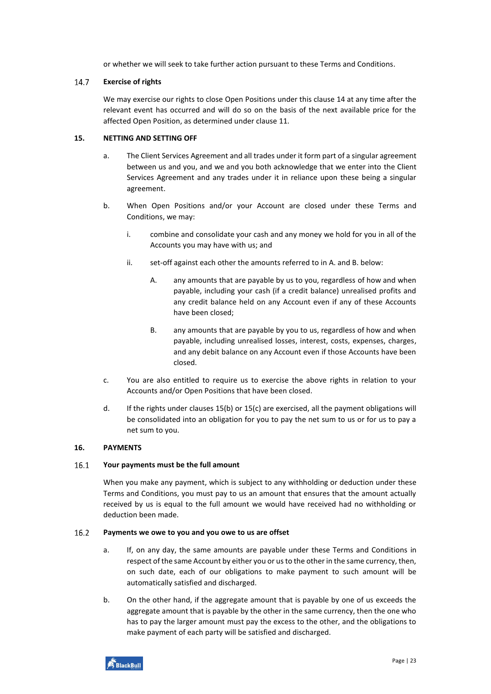or whether we will seek to take further action pursuant to these Terms and Conditions.

#### 14.7 **Exercise of rights**

We may exercise our rights to close Open Positions under this clause [14](#page-19-1) at any time after the relevant event has occurred and will do so on the basis of the next available price for the affected Open Position, as determined under claus[e 11.](#page-17-0)

# <span id="page-22-0"></span>**15. NETTING AND SETTING OFF**

- a. The Client Services Agreement and all trades under it form part of a singular agreement between us and you, and we and you both acknowledge that we enter into the Client Services Agreement and any trades under it in reliance upon these being a singular agreement.
- <span id="page-22-2"></span>b. When Open Positions and/or your Account are closed under these Terms and Conditions, we may:
	- i. combine and consolidate your cash and any money we hold for you in all of the Accounts you may have with us; and
	- ii. set-off against each other the amounts referred to in A. and B. below:
		- A. any amounts that are payable by us to you, regardless of how and when payable, including your cash (if a credit balance) unrealised profits and any credit balance held on any Account even if any of these Accounts have been closed;
		- B. any amounts that are payable by you to us, regardless of how and when payable, including unrealised losses, interest, costs, expenses, charges, and any debit balance on any Account even if those Accounts have been closed.
- <span id="page-22-3"></span>c. You are also entitled to require us to exercise the above rights in relation to your Accounts and/or Open Positions that have been closed.
- d. If the rights under clauses [15](#page-22-0)[\(b\)](#page-22-2) or [15\(](#page-22-0)[c\)](#page-22-3) are exercised, all the payment obligations will be consolidated into an obligation for you to pay the net sum to us or for us to pay a net sum to you.

# <span id="page-22-1"></span>**16. PAYMENTS**

#### $16.1$ **Your payments must be the full amount**

When you make any payment, which is subject to any withholding or deduction under these Terms and Conditions, you must pay to us an amount that ensures that the amount actually received by us is equal to the full amount we would have received had no withholding or deduction been made.

#### $16.2$ **Payments we owe to you and you owe to us are offset**

- a. If, on any day, the same amounts are payable under these Terms and Conditions in respect of the same Account by either you or us to the other in the same currency, then, on such date, each of our obligations to make payment to such amount will be automatically satisfied and discharged.
- b. On the other hand, if the aggregate amount that is payable by one of us exceeds the aggregate amount that is payable by the other in the same currency, then the one who has to pay the larger amount must pay the excess to the other, and the obligations to make payment of each party will be satisfied and discharged.

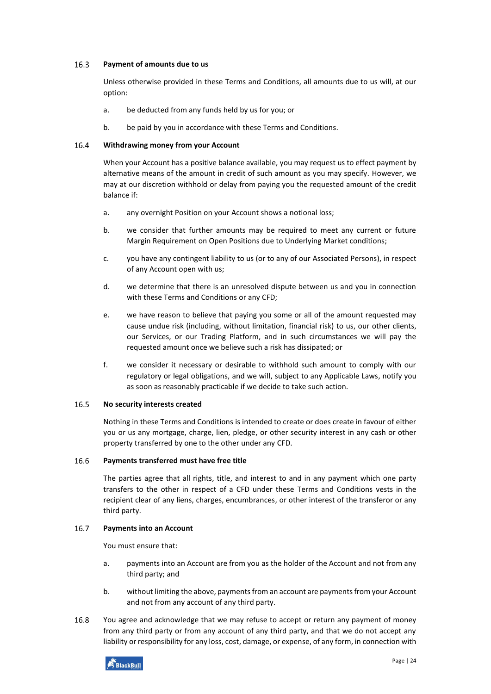#### $16.3$ **Payment of amounts due to us**

Unless otherwise provided in these Terms and Conditions, all amounts due to us will, at our option:

- a. be deducted from any funds held by us for you; or
- b. be paid by you in accordance with these Terms and Conditions.

#### 16.4 **Withdrawing money from your Account**

When your Account has a positive balance available, you may request us to effect payment by alternative means of the amount in credit of such amount as you may specify. However, we may at our discretion withhold or delay from paying you the requested amount of the credit balance if:

- a. any overnight Position on your Account shows a notional loss;
- b. we consider that further amounts may be required to meet any current or future Margin Requirement on Open Positions due to Underlying Market conditions;
- c. you have any contingent liability to us (or to any of our Associated Persons), in respect of any Account open with us;
- d. we determine that there is an unresolved dispute between us and you in connection with these Terms and Conditions or any CFD;
- e. we have reason to believe that paying you some or all of the amount requested may cause undue risk (including, without limitation, financial risk) to us, our other clients, our Services, or our Trading Platform, and in such circumstances we will pay the requested amount once we believe such a risk has dissipated; or
- f. we consider it necessary or desirable to withhold such amount to comply with our regulatory or legal obligations, and we will, subject to any Applicable Laws, notify you as soon as reasonably practicable if we decide to take such action.

#### 16.5 **No security interests created**

Nothing in these Terms and Conditions is intended to create or does create in favour of either you or us any mortgage, charge, lien, pledge, or other security interest in any cash or other property transferred by one to the other under any CFD.

#### 16.6 **Payments transferred must have free title**

The parties agree that all rights, title, and interest to and in any payment which one party transfers to the other in respect of a CFD under these Terms and Conditions vests in the recipient clear of any liens, charges, encumbrances, or other interest of the transferor or any third party.

#### 16.7 **Payments into an Account**

You must ensure that:

- a. payments into an Account are from you as the holder of the Account and not from any third party; and
- b. without limiting the above, payments from an account are payments from your Account and not from any account of any third party.
- 16.8 You agree and acknowledge that we may refuse to accept or return any payment of money from any third party or from any account of any third party, and that we do not accept any liability or responsibility for any loss, cost, damage, or expense, of any form, in connection with

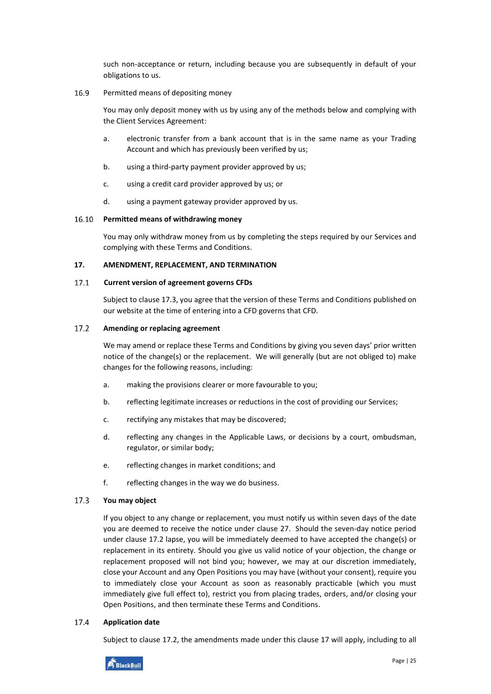such non-acceptance or return, including because you are subsequently in default of your obligations to us.

#### 16.9 Permitted means of depositing money

You may only deposit money with us by using any of the methods below and complying with the Client Services Agreement:

- a. electronic transfer from a bank account that is in the same name as your Trading Account and which has previously been verified by us;
- b. using a third-party payment provider approved by us;
- c. using a credit card provider approved by us; or
- d. using a payment gateway provider approved by us.

#### 16.10 **Permitted means of withdrawing money**

You may only withdraw money from us by completing the steps required by our Services and complying with these Terms and Conditions.

### <span id="page-24-0"></span>**17. AMENDMENT, REPLACEMENT, AND TERMINATION**

#### $17.1$ **Current version of agreement governs CFDs**

Subject to clause [17.3,](#page-24-2) you agree that the version of these Terms and Conditions published on our website at the time of entering into a CFD governs that CFD.

#### <span id="page-24-1"></span> $17.2$ **Amending or replacing agreement**

We may amend or replace these Terms and Conditions by giving you seven days' prior written notice of the change(s) or the replacement. We will generally (but are not obliged to) make changes for the following reasons, including:

- a. making the provisions clearer or more favourable to you;
- b. reflecting legitimate increases or reductions in the cost of providing our Services;
- c. rectifying any mistakes that may be discovered;
- d. reflecting any changes in the Applicable Laws, or decisions by a court, ombudsman, regulator, or similar body;
- e. reflecting changes in market conditions; and
- f. reflecting changes in the way we do business.

#### <span id="page-24-2"></span>17.3 **You may object**

If you object to any change or replacement, you must notify us within seven days of the date you are deemed to receive the notice under clause [27.](#page-34-0) Should the seven-day notice period under clause [17.2](#page-24-1) lapse, you will be immediately deemed to have accepted the change(s) or replacement in its entirety. Should you give us valid notice of your objection, the change or replacement proposed will not bind you; however, we may at our discretion immediately, close your Account and any Open Positions you may have (without your consent), require you to immediately close your Account as soon as reasonably practicable (which you must immediately give full effect to), restrict you from placing trades, orders, and/or closing your Open Positions, and then terminate these Terms and Conditions.

#### 17.4 **Application date**

Subject to clause [17.2,](#page-24-1) the amendments made under this clause [17](#page-24-0) will apply, including to all

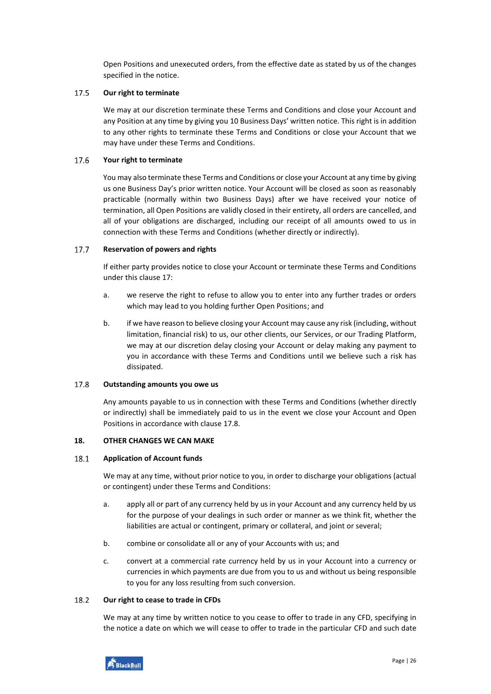Open Positions and unexecuted orders, from the effective date as stated by us of the changes specified in the notice.

#### 17.5 **Our right to terminate**

We may at our discretion terminate these Terms and Conditions and close your Account and any Position at any time by giving you 10 Business Days' written notice. This right is in addition to any other rights to terminate these Terms and Conditions or close your Account that we may have under these Terms and Conditions.

#### 17.6 **Your right to terminate**

You may also terminate these Terms and Conditions or close your Account at any time by giving us one Business Day's prior written notice. Your Account will be closed as soon as reasonably practicable (normally within two Business Days) after we have received your notice of termination, all Open Positions are validly closed in their entirety, all orders are cancelled, and all of your obligations are discharged, including our receipt of all amounts owed to us in connection with these Terms and Conditions (whether directly or indirectly).

#### <span id="page-25-3"></span>17.7 **Reservation of powers and rights**

If either party provides notice to close your Account or terminate these Terms and Conditions under this claus[e 17:](#page-24-0)

- a. we reserve the right to refuse to allow you to enter into any further trades or orders which may lead to you holding further Open Positions; and
- b. if we have reason to believe closing your Account may cause any risk (including, without limitation, financial risk) to us, our other clients, our Services, or our Trading Platform, we may at our discretion delay closing your Account or delay making any payment to you in accordance with these Terms and Conditions until we believe such a risk has dissipated.

#### <span id="page-25-1"></span>17.8 **Outstanding amounts you owe us**

Any amounts payable to us in connection with these Terms and Conditions (whether directly or indirectly) shall be immediately paid to us in the event we close your Account and Open Positions in accordance with clause [17.8.](#page-25-1)

### <span id="page-25-0"></span>**18. OTHER CHANGES WE CAN MAKE**

#### $18.1$ **Application of Account funds**

We may at any time, without prior notice to you, in order to discharge your obligations (actual or contingent) under these Terms and Conditions:

- a. apply all or part of any currency held by us in your Account and any currency held by us for the purpose of your dealings in such order or manner as we think fit, whether the liabilities are actual or contingent, primary or collateral, and joint or several;
- b. combine or consolidate all or any of your Accounts with us; and
- c. convert at a commercial rate currency held by us in your Account into a currency or currencies in which payments are due from you to us and without us being responsible to you for any loss resulting from such conversion.

#### <span id="page-25-2"></span>18.2 **Our right to cease to trade in CFDs**

We may at any time by written notice to you cease to offer to trade in any CFD, specifying in the notice a date on which we will cease to offer to trade in the particular CFD and such date

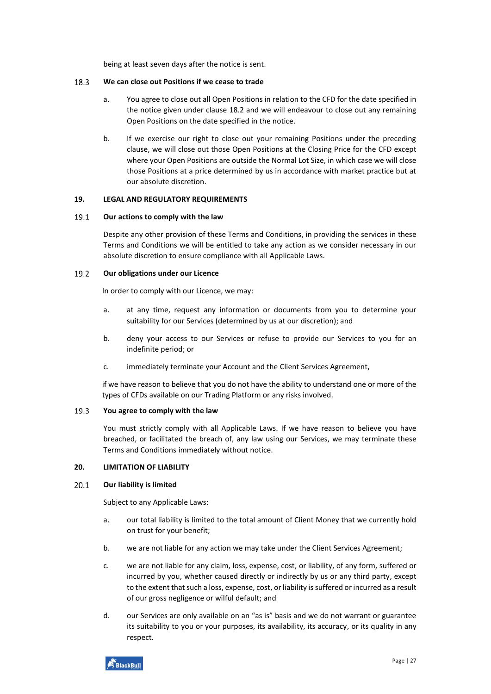being at least seven days after the notice is sent.

#### 18.3 **We can close out Positions if we cease to trade**

- a. You agree to close out all Open Positions in relation to the CFD for the date specified in the notice given under clause [18.2](#page-25-2) and we will endeavour to close out any remaining Open Positions on the date specified in the notice.
- b. If we exercise our right to close out your remaining Positions under the preceding clause, we will close out those Open Positions at the Closing Price for the CFD except where your Open Positions are outside the Normal Lot Size, in which case we will close those Positions at a price determined by us in accordance with market practice but at our absolute discretion.

# <span id="page-26-0"></span>**19. LEGAL AND REGULATORY REQUIREMENTS**

#### $19.1$ **Our actions to comply with the law**

Despite any other provision of these Terms and Conditions, in providing the services in these Terms and Conditions we will be entitled to take any action as we consider necessary in our absolute discretion to ensure compliance with all Applicable Laws.

#### $19.2$ **Our obligations under our Licence**

In order to comply with our Licence, we may:

- a. at any time, request any information or documents from you to determine your suitability for our Services (determined by us at our discretion); and
- b. deny your access to our Services or refuse to provide our Services to you for an indefinite period; or
- c. immediately terminate your Account and the Client Services Agreement,

if we have reason to believe that you do not have the ability to understand one or more of the types of CFDs available on our Trading Platform or any risks involved.

#### 19.3 **You agree to comply with the law**

You must strictly comply with all Applicable Laws. If we have reason to believe you have breached, or facilitated the breach of, any law using our Services, we may terminate these Terms and Conditions immediately without notice.

# <span id="page-26-1"></span>**20. LIMITATION OF LIABILITY**

#### $20.1$ **Our liability is limited**

Subject to any Applicable Laws:

- a. our total liability is limited to the total amount of Client Money that we currently hold on trust for your benefit;
- b. we are not liable for any action we may take under the Client Services Agreement;
- c. we are not liable for any claim, loss, expense, cost, or liability, of any form, suffered or incurred by you, whether caused directly or indirectly by us or any third party, except to the extent that such a loss, expense, cost, or liability is suffered or incurred as a result of our gross negligence or wilful default; and
- d. our Services are only available on an "as is" basis and we do not warrant or guarantee its suitability to you or your purposes, its availability, its accuracy, or its quality in any respect.

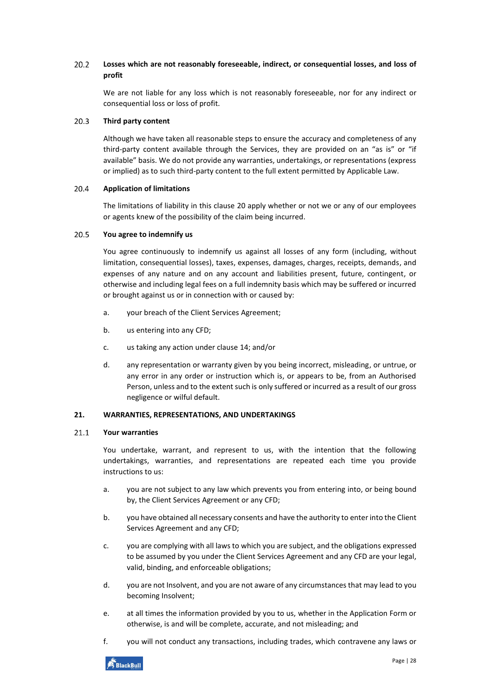#### $20.2$ **Losses which are not reasonably foreseeable, indirect, or consequential losses, and loss of profit**

We are not liable for any loss which is not reasonably foreseeable, nor for any indirect or consequential loss or loss of profit.

#### $20.3$ **Third party content**

Although we have taken all reasonable steps to ensure the accuracy and completeness of any third-party content available through the Services, they are provided on an "as is" or "if available" basis. We do not provide any warranties, undertakings, or representations (express or implied) as to such third-party content to the full extent permitted by Applicable Law.

#### 20.4 **Application of limitations**

The limitations of liability in this clause [20](#page-26-1) apply whether or not we or any of our employees or agents knew of the possibility of the claim being incurred.

#### $20.5$ **You agree to indemnify us**

You agree continuously to indemnify us against all losses of any form (including, without limitation, consequential losses), taxes, expenses, damages, charges, receipts, demands, and expenses of any nature and on any account and liabilities present, future, contingent, or otherwise and including legal fees on a full indemnity basis which may be suffered or incurred or brought against us or in connection with or caused by:

- a. your breach of the Client Services Agreement;
- b. us entering into any CFD;
- c. us taking any action under clause [14;](#page-19-1) and/or
- d. any representation or warranty given by you being incorrect, misleading, or untrue, or any error in any order or instruction which is, or appears to be, from an Authorised Person, unless and to the extent such is only suffered or incurred as a result of our gross negligence or wilful default.

# <span id="page-27-0"></span>**21. WARRANTIES, REPRESENTATIONS, AND UNDERTAKINGS**

#### $21.1$ **Your warranties**

You undertake, warrant, and represent to us, with the intention that the following undertakings, warranties, and representations are repeated each time you provide instructions to us:

- a. you are not subject to any law which prevents you from entering into, or being bound by, the Client Services Agreement or any CFD;
- b. you have obtained all necessary consents and have the authority to enter into the Client Services Agreement and any CFD;
- c. you are complying with all laws to which you are subject, and the obligations expressed to be assumed by you under the Client Services Agreement and any CFD are your legal, valid, binding, and enforceable obligations;
- d. you are not Insolvent, and you are not aware of any circumstances that may lead to you becoming Insolvent;
- e. at all times the information provided by you to us, whether in the Application Form or otherwise, is and will be complete, accurate, and not misleading; and
- f. you will not conduct any transactions, including trades, which contravene any laws or

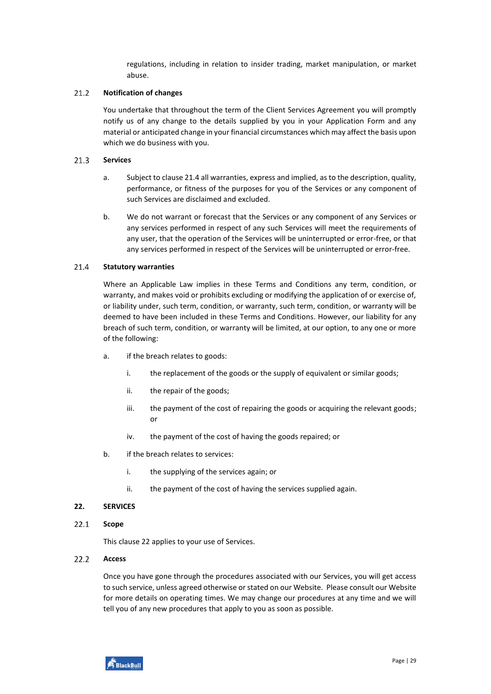regulations, including in relation to insider trading, market manipulation, or market abuse.

#### $21.2$ **Notification of changes**

You undertake that throughout the term of the Client Services Agreement you will promptly notify us of any change to the details supplied by you in your Application Form and any material or anticipated change in your financial circumstances which may affect the basis upon which we do business with you.

#### $21.3$ **Services**

- a. Subject to claus[e 21.4](#page-28-1) all warranties, express and implied, as to the description, quality, performance, or fitness of the purposes for you of the Services or any component of such Services are disclaimed and excluded.
- b. We do not warrant or forecast that the Services or any component of any Services or any services performed in respect of any such Services will meet the requirements of any user, that the operation of the Services will be uninterrupted or error-free, or that any services performed in respect of the Services will be uninterrupted or error-free.

#### <span id="page-28-1"></span>21.4 **Statutory warranties**

Where an Applicable Law implies in these Terms and Conditions any term, condition, or warranty, and makes void or prohibits excluding or modifying the application of or exercise of, or liability under, such term, condition, or warranty, such term, condition, or warranty will be deemed to have been included in these Terms and Conditions. However, our liability for any breach of such term, condition, or warranty will be limited, at our option, to any one or more of the following:

- a. if the breach relates to goods:
	- i. the replacement of the goods or the supply of equivalent or similar goods;
	- ii. the repair of the goods;
	- iii. the payment of the cost of repairing the goods or acquiring the relevant goods; or
	- iv. the payment of the cost of having the goods repaired; or
- b. if the breach relates to services:
	- i. the supplying of the services again; or
	- ii. the payment of the cost of having the services supplied again.

### <span id="page-28-0"></span>**22. SERVICES**

 $22.1$ **Scope**

This clause [22](#page-28-0) applies to your use of Services.

#### $22.2$ **Access**

Once you have gone through the procedures associated with our Services, you will get access to such service, unless agreed otherwise or stated on our Website. Please consult our Website for more details on operating times. We may change our procedures at any time and we will tell you of any new procedures that apply to you as soon as possible.

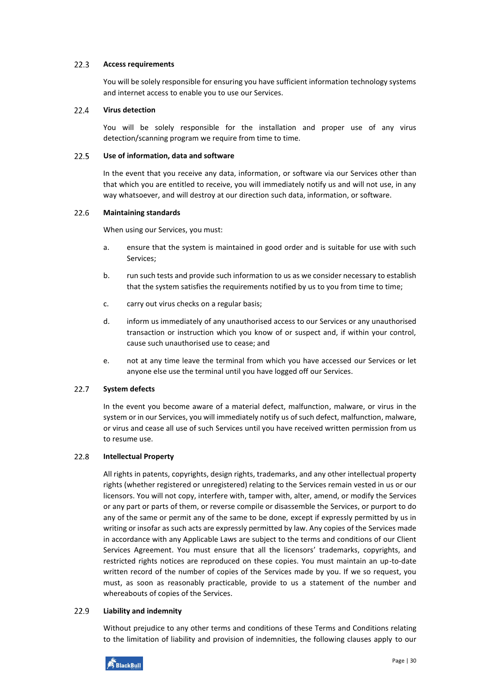#### $22.3$ **Access requirements**

You will be solely responsible for ensuring you have sufficient information technology systems and internet access to enable you to use our Services.

#### $22.4$ **Virus detection**

You will be solely responsible for the installation and proper use of any virus detection/scanning program we require from time to time.

#### $22.5$ **Use of information, data and software**

In the event that you receive any data, information, or software via our Services other than that which you are entitled to receive, you will immediately notify us and will not use, in any way whatsoever, and will destroy at our direction such data, information, or software.

#### 22.6 **Maintaining standards**

When using our Services, you must:

- a. ensure that the system is maintained in good order and is suitable for use with such Services;
- b. run such tests and provide such information to us as we consider necessary to establish that the system satisfies the requirements notified by us to you from time to time;
- c. carry out virus checks on a regular basis;
- d. inform us immediately of any unauthorised access to our Services or any unauthorised transaction or instruction which you know of or suspect and, if within your control, cause such unauthorised use to cease; and
- e. not at any time leave the terminal from which you have accessed our Services or let anyone else use the terminal until you have logged off our Services.

#### $22.7$ **System defects**

In the event you become aware of a material defect, malfunction, malware, or virus in the system or in our Services, you will immediately notify us of such defect, malfunction, malware, or virus and cease all use of such Services until you have received written permission from us to resume use.

#### 22.8 **Intellectual Property**

All rights in patents, copyrights, design rights, trademarks, and any other intellectual property rights (whether registered or unregistered) relating to the Services remain vested in us or our licensors. You will not copy, interfere with, tamper with, alter, amend, or modify the Services or any part or parts of them, or reverse compile or disassemble the Services, or purport to do any of the same or permit any of the same to be done, except if expressly permitted by us in writing or insofar as such acts are expressly permitted by law. Any copies of the Services made in accordance with any Applicable Laws are subject to the terms and conditions of our Client Services Agreement. You must ensure that all the licensors' trademarks, copyrights, and restricted rights notices are reproduced on these copies. You must maintain an up-to-date written record of the number of copies of the Services made by you. If we so request, you must, as soon as reasonably practicable, provide to us a statement of the number and whereabouts of copies of the Services.

#### 22.9 **Liability and indemnity**

Without prejudice to any other terms and conditions of these Terms and Conditions relating to the limitation of liability and provision of indemnities, the following clauses apply to our

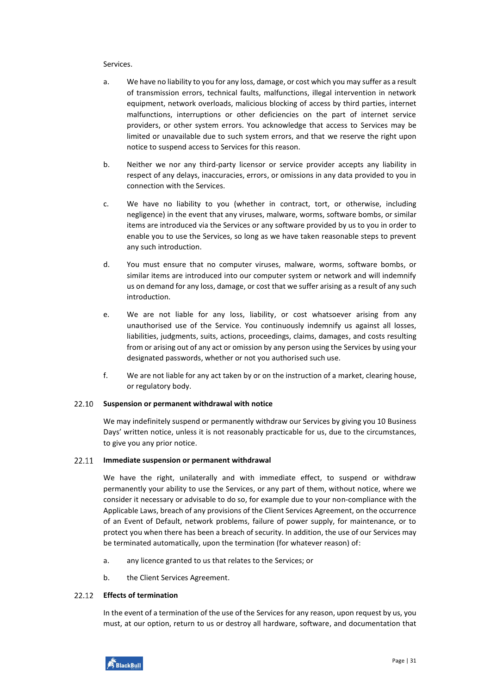### Services.

- a. We have no liability to you for any loss, damage, or cost which you may suffer as a result of transmission errors, technical faults, malfunctions, illegal intervention in network equipment, network overloads, malicious blocking of access by third parties, internet malfunctions, interruptions or other deficiencies on the part of internet service providers, or other system errors. You acknowledge that access to Services may be limited or unavailable due to such system errors, and that we reserve the right upon notice to suspend access to Services for this reason.
- b. Neither we nor any third-party licensor or service provider accepts any liability in respect of any delays, inaccuracies, errors, or omissions in any data provided to you in connection with the Services.
- c. We have no liability to you (whether in contract, tort, or otherwise, including negligence) in the event that any viruses, malware, worms, software bombs, or similar items are introduced via the Services or any software provided by us to you in order to enable you to use the Services, so long as we have taken reasonable steps to prevent any such introduction.
- d. You must ensure that no computer viruses, malware, worms, software bombs, or similar items are introduced into our computer system or network and will indemnify us on demand for any loss, damage, or cost that we suffer arising as a result of any such introduction.
- e. We are not liable for any loss, liability, or cost whatsoever arising from any unauthorised use of the Service. You continuously indemnify us against all losses, liabilities, judgments, suits, actions, proceedings, claims, damages, and costs resulting from or arising out of any act or omission by any person using the Services by using your designated passwords, whether or not you authorised such use.
- f. We are not liable for any act taken by or on the instruction of a market, clearing house, or regulatory body.

#### 22.10 **Suspension or permanent withdrawal with notice**

We may indefinitely suspend or permanently withdraw our Services by giving you 10 Business Days' written notice, unless it is not reasonably practicable for us, due to the circumstances, to give you any prior notice.

#### 22.11 **Immediate suspension or permanent withdrawal**

We have the right, unilaterally and with immediate effect, to suspend or withdraw permanently your ability to use the Services, or any part of them, without notice, where we consider it necessary or advisable to do so, for example due to your non-compliance with the Applicable Laws, breach of any provisions of the Client Services Agreement, on the occurrence of an Event of Default, network problems, failure of power supply, for maintenance, or to protect you when there has been a breach of security. In addition, the use of our Services may be terminated automatically, upon the termination (for whatever reason) of:

- a. any licence granted to us that relates to the Services; or
- b. the Client Services Agreement.

#### $22.12$ **Effects of termination**

In the event of a termination of the use of the Services for any reason, upon request by us, you must, at our option, return to us or destroy all hardware, software, and documentation that

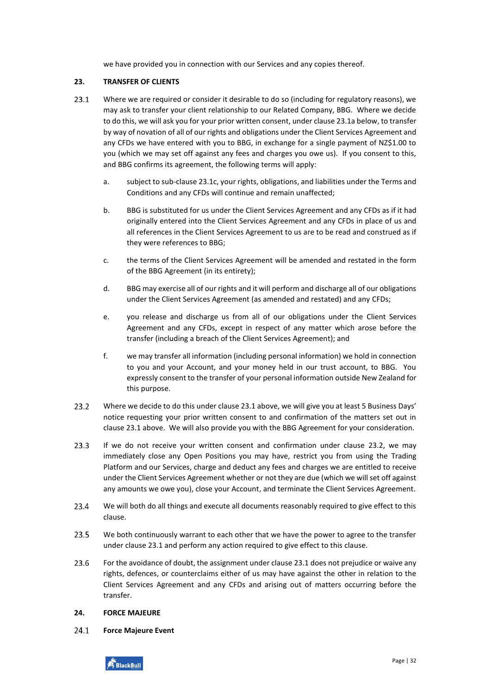we have provided you in connection with our Services and any copies thereof.

# <span id="page-31-0"></span>**23. TRANSFER OF CLIENTS**

- <span id="page-31-4"></span><span id="page-31-2"></span> $23.1$ Where we are required or consider it desirable to do so (including for regulatory reasons), we may ask to transfer your client relationship to our Related Company, BBG. Where we decide to do this, we will ask you for your prior written consent, under claus[e 23.1a](#page-31-2) below, to transfer by way of novation of all of our rights and obligations under the Client Services Agreement and any CFDs we have entered with you to BBG, in exchange for a single payment of NZ\$1.00 to you (which we may set off against any fees and charges you owe us). If you consent to this, and BBG confirms its agreement, the following terms will apply:
	- a. subject to sub-clause [23.1c,](#page-31-3) your rights, obligations, and liabilities under the Terms and Conditions and any CFDs will continue and remain unaffected;
	- b. BBG is substituted for us under the Client Services Agreement and any CFDs as if it had originally entered into the Client Services Agreement and any CFDs in place of us and all references in the Client Services Agreement to us are to be read and construed as if they were references to BBG;
	- c. the terms of the Client Services Agreement will be amended and restated in the form of the BBG Agreement (in its entirety);
	- d. BBG may exercise all of our rights and it will perform and discharge all of our obligations under the Client Services Agreement (as amended and restated) and any CFDs;
	- e. you release and discharge us from all of our obligations under the Client Services Agreement and any CFDs, except in respect of any matter which arose before the transfer (including a breach of the Client Services Agreement); and
	- f. we may transfer all information (including personal information) we hold in connection to you and your Account, and your money held in our trust account, to BBG. You expressly consent to the transfer of your personal information outside New Zealand for this purpose.
- <span id="page-31-5"></span><span id="page-31-3"></span> $23.2$ Where we decide to do this under claus[e 23.1](#page-31-4) above, we will give you at least 5 Business Days' notice requesting your prior written consent to and confirmation of the matters set out in clause [23.1](#page-31-4) above. We will also provide you with the BBG Agreement for your consideration.
- $23.3$ If we do not receive your written consent and confirmation under clause [23.2,](#page-31-5) we may immediately close any Open Positions you may have, restrict you from using the Trading Platform and our Services, charge and deduct any fees and charges we are entitled to receive under the Client Services Agreement whether or not they are due (which we will set off against any amounts we owe you), close your Account, and terminate the Client Services Agreement.
- 23.4 We will both do all things and execute all documents reasonably required to give effect to this clause.
- 23.5 We both continuously warrant to each other that we have the power to agree to the transfer under clause [23.1](#page-31-4) and perform any action required to give effect to this clause.
- 23.6 For the avoidance of doubt, the assignment under claus[e 23.1](#page-31-4) does not prejudice or waive any rights, defences, or counterclaims either of us may have against the other in relation to the Client Services Agreement and any CFDs and arising out of matters occurring before the transfer.

# <span id="page-31-1"></span>**24. FORCE MAJEURE**

<span id="page-31-6"></span> $24.1$ **Force Majeure Event**

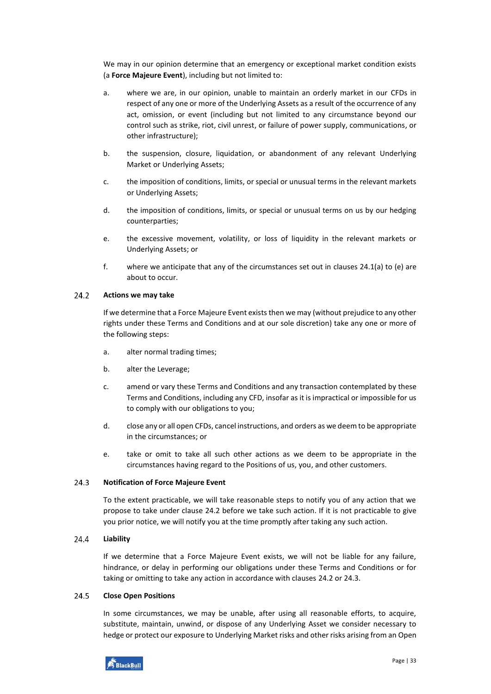We may in our opinion determine that an emergency or exceptional market condition exists (a **Force Majeure Event**), including but not limited to:

- <span id="page-32-0"></span>a. where we are, in our opinion, unable to maintain an orderly market in our CFDs in respect of any one or more of the Underlying Assets as a result of the occurrence of any act, omission, or event (including but not limited to any circumstance beyond our control such as strike, riot, civil unrest, or failure of power supply, communications, or other infrastructure);
- b. the suspension, closure, liquidation, or abandonment of any relevant Underlying Market or Underlying Assets;
- c. the imposition of conditions, limits, or special or unusual terms in the relevant markets or Underlying Assets;
- d. the imposition of conditions, limits, or special or unusual terms on us by our hedging counterparties;
- <span id="page-32-1"></span>e. the excessive movement, volatility, or loss of liquidity in the relevant markets or Underlying Assets; or
- f. where we anticipate that any of the circumstances set out in clauses [24.1](#page-31-6)[\(a\)](#page-32-0) to [\(e\)](#page-32-1) are about to occur.

#### <span id="page-32-2"></span> $24.2$ **Actions we may take**

If we determine that a Force Majeure Event exists then we may (without prejudice to any other rights under these Terms and Conditions and at our sole discretion) take any one or more of the following steps:

- a. alter normal trading times;
- b. alter the Leverage;
- c. amend or vary these Terms and Conditions and any transaction contemplated by these Terms and Conditions, including any CFD, insofar as it is impractical or impossible for us to comply with our obligations to you;
- d. close any or all open CFDs, cancel instructions, and orders as we deem to be appropriate in the circumstances; or
- e. take or omit to take all such other actions as we deem to be appropriate in the circumstances having regard to the Positions of us, you, and other customers.

#### <span id="page-32-3"></span> $24.3$ **Notification of Force Majeure Event**

To the extent practicable, we will take reasonable steps to notify you of any action that we propose to take under clause [24.2](#page-32-2) before we take such action. If it is not practicable to give you prior notice, we will notify you at the time promptly after taking any such action.

#### 24.4 **Liability**

If we determine that a Force Majeure Event exists, we will not be liable for any failure, hindrance, or delay in performing our obligations under these Terms and Conditions or for taking or omitting to take any action in accordance with clauses [24.2](#page-32-2) or [24.3.](#page-32-3)

#### $24.5$ **Close Open Positions**

In some circumstances, we may be unable, after using all reasonable efforts, to acquire, substitute, maintain, unwind, or dispose of any Underlying Asset we consider necessary to hedge or protect our exposure to Underlying Market risks and other risks arising from an Open

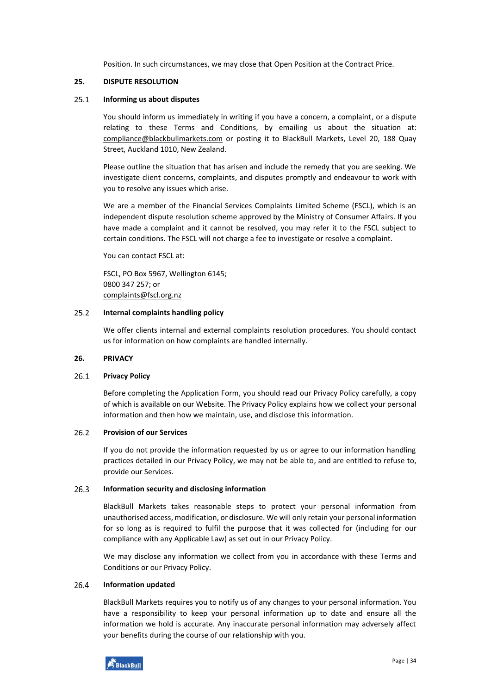Position. In such circumstances, we may close that Open Position at the Contract Price.

### <span id="page-33-0"></span>**25. DISPUTE RESOLUTION**

#### $25.1$ **Informing us about disputes**

You should inform us immediately in writing if you have a concern, a complaint, or a dispute relating to these Terms and Conditions, by emailing us about the situation at: [compliance@blackbullmarkets.com](mailto:compliance@blackbullmarkets.com) or posting it to BlackBull Markets, Level 20, 188 Quay Street, Auckland 1010, New Zealand.

Please outline the situation that has arisen and include the remedy that you are seeking. We investigate client concerns, complaints, and disputes promptly and endeavour to work with you to resolve any issues which arise.

We are a member of the Financial Services Complaints Limited Scheme (FSCL), which is an independent dispute resolution scheme approved by the Ministry of Consumer Affairs. If you have made a complaint and it cannot be resolved, you may refer it to the FSCL subject to certain conditions. The FSCL will not charge a fee to investigate or resolve a complaint.

You can contact FSCL at:

FSCL, PO Box 5967, Wellington 6145; 0800 347 257; or [complaints@fscl.org.nz](mailto:complaints@fscl.org.nz)

#### $25.2$ **Internal complaints handling policy**

We offer clients internal and external complaints resolution procedures. You should contact us for information on how complaints are handled internally.

### <span id="page-33-1"></span>**26. PRIVACY**

#### 26.1 **Privacy Policy**

Before completing the Application Form, you should read our Privacy Policy carefully, a copy of which is available on our Website. The Privacy Policy explains how we collect your personal information and then how we maintain, use, and disclose this information.

#### $26.2$ **Provision of our Services**

If you do not provide the information requested by us or agree to our information handling practices detailed in our Privacy Policy, we may not be able to, and are entitled to refuse to, provide our Services.

#### 26.3 **Information security and disclosing information**

BlackBull Markets takes reasonable steps to protect your personal information from unauthorised access, modification, or disclosure. We will only retain your personal information for so long as is required to fulfil the purpose that it was collected for (including for our compliance with any Applicable Law) as set out in our Privacy Policy.

We may disclose any information we collect from you in accordance with these Terms and Conditions or our Privacy Policy.

#### 26.4 **Information updated**

BlackBull Markets requires you to notify us of any changes to your personal information. You have a responsibility to keep your personal information up to date and ensure all the information we hold is accurate. Any inaccurate personal information may adversely affect your benefits during the course of our relationship with you.

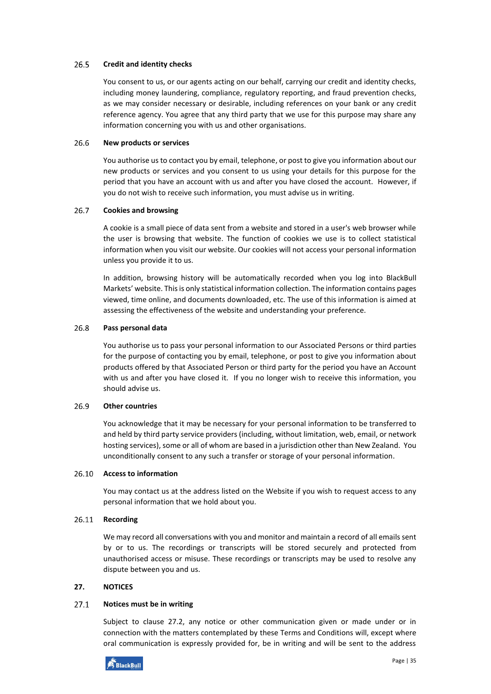#### 26.5 **Credit and identity checks**

You consent to us, or our agents acting on our behalf, carrying our credit and identity checks, including money laundering, compliance, regulatory reporting, and fraud prevention checks, as we may consider necessary or desirable, including references on your bank or any credit reference agency. You agree that any third party that we use for this purpose may share any information concerning you with us and other organisations.

#### 26.6 **New products or services**

You authorise us to contact you by email, telephone, or post to give you information about our new products or services and you consent to us using your details for this purpose for the period that you have an account with us and after you have closed the account. However, if you do not wish to receive such information, you must advise us in writing.

#### $26.7$ **Cookies and browsing**

A cookie is a small piece of data sent from a website and stored in a user's web browser while the user is browsing that website. The function of cookies we use is to collect statistical information when you visit our website. Our cookies will not access your personal information unless you provide it to us.

In addition, browsing history will be automatically recorded when you log into BlackBull Markets' website. This is only statistical information collection. The information contains pages viewed, time online, and documents downloaded, etc. The use of this information is aimed at assessing the effectiveness of the website and understanding your preference.

#### 26.8 **Pass personal data**

You authorise us to pass your personal information to our Associated Persons or third parties for the purpose of contacting you by email, telephone, or post to give you information about products offered by that Associated Person or third party for the period you have an Account with us and after you have closed it. If you no longer wish to receive this information, you should advise us.

#### 26.9 **Other countries**

You acknowledge that it may be necessary for your personal information to be transferred to and held by third party service providers (including, without limitation, web, email, or network hosting services), some or all of whom are based in a jurisdiction other than New Zealand. You unconditionally consent to any such a transfer or storage of your personal information.

### **Access to information**

You may contact us at the address listed on the Website if you wish to request access to any personal information that we hold about you.

# **Recording**

We may record all conversations with you and monitor and maintain a record of all emails sent by or to us. The recordings or transcripts will be stored securely and protected from unauthorised access or misuse. These recordings or transcripts may be used to resolve any dispute between you and us.

# <span id="page-34-0"></span>**27. NOTICES**

#### $27.1$ **Notices must be in writing**

Subject to clause [27.2,](#page-35-1) any notice or other communication given or made under or in connection with the matters contemplated by these Terms and Conditions will, except where oral communication is expressly provided for, be in writing and will be sent to the address

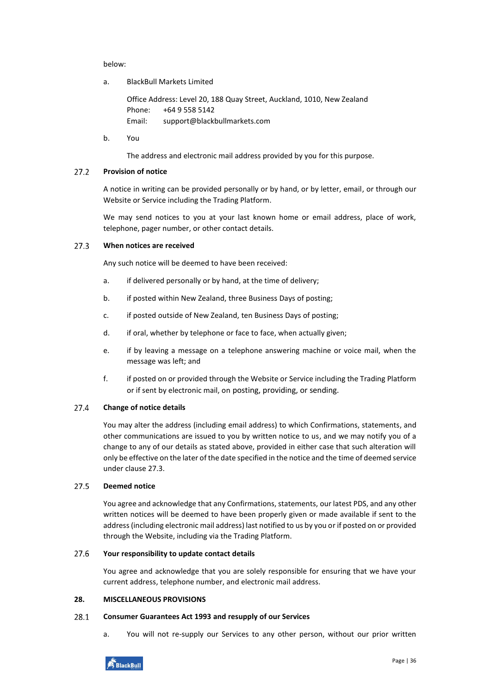below:

a. BlackBull Markets Limited

Office Address: Level 20, 188 Quay Street, Auckland, 1010, New Zealand Phone: +64 9 558 5142 Email: support@blackbullmarkets.com

b. You

The address and electronic mail address provided by you for this purpose.

#### <span id="page-35-1"></span>**Provision of notice**   $27.2$

A notice in writing can be provided personally or by hand, or by letter, email, or through our Website or Service including the Trading Platform.

We may send notices to you at your last known home or email address, place of work, telephone, pager number, or other contact details.

#### <span id="page-35-2"></span> $27.3$ **When notices are received**

Any such notice will be deemed to have been received:

- a. if delivered personally or by hand, at the time of delivery;
- b. if posted within New Zealand, three Business Days of posting;
- c. if posted outside of New Zealand, ten Business Days of posting;
- d. if oral, whether by telephone or face to face, when actually given;
- e. if by leaving a message on a telephone answering machine or voice mail, when the message was left; and
- f. if posted on or provided through the Website or Service including the Trading Platform or if sent by electronic mail, on posting, providing, or sending.

#### 27.4 **Change of notice details**

You may alter the address (including email address) to which Confirmations, statements, and other communications are issued to you by written notice to us, and we may notify you of a change to any of our details as stated above, provided in either case that such alteration will only be effective on the later of the date specified in the notice and the time of deemed service under claus[e 27.3.](#page-35-2)

#### $27.5$ **Deemed notice**

You agree and acknowledge that any Confirmations, statements, our latest PDS, and any other written notices will be deemed to have been properly given or made available if sent to the address (including electronic mail address) last notified to us by you or if posted on or provided through the Website, including via the Trading Platform.

#### 27.6 **Your responsibility to update contact details**

You agree and acknowledge that you are solely responsible for ensuring that we have your current address, telephone number, and electronic mail address.

# <span id="page-35-0"></span>**28. MISCELLANEOUS PROVISIONS**

#### 28.1 **Consumer Guarantees Act 1993 and resupply of our Services**

a. You will not re-supply our Services to any other person, without our prior written

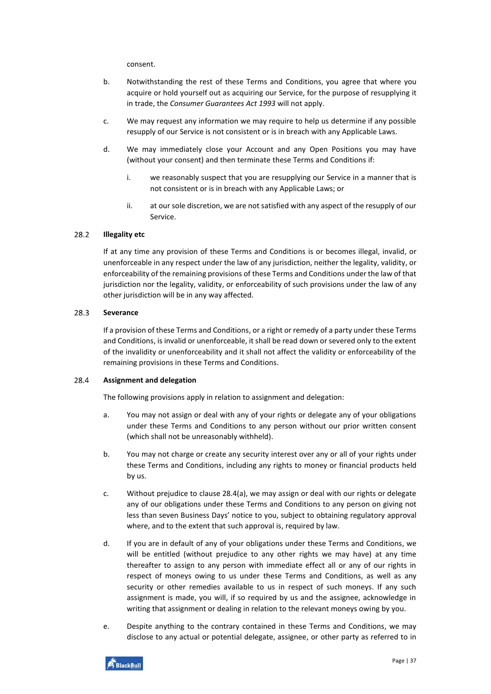consent.

- b. Notwithstanding the rest of these Terms and Conditions, you agree that where you acquire or hold yourself out as acquiring our Service, for the purpose of resupplying it in trade, the *Consumer Guarantees Act 1993* will not apply.
- c. We may request any information we may require to help us determine if any possible resupply of our Service is not consistent or is in breach with any Applicable Laws.
- d. We may immediately close your Account and any Open Positions you may have (without your consent) and then terminate these Terms and Conditions if:
	- i. we reasonably suspect that you are resupplying our Service in a manner that is not consistent or is in breach with any Applicable Laws; or
	- ii. at our sole discretion, we are not satisfied with any aspect of the resupply of our Service.

#### 28.2 **Illegality etc**

If at any time any provision of these Terms and Conditions is or becomes illegal, invalid, or unenforceable in any respect under the law of any jurisdiction, neither the legality, validity, or enforceability of the remaining provisions of these Terms and Conditions under the law of that jurisdiction nor the legality, validity, or enforceability of such provisions under the law of any other jurisdiction will be in any way affected.

#### <span id="page-36-2"></span>28.3 **Severance**

If a provision of these Terms and Conditions, or a right or remedy of a party under these Terms and Conditions, is invalid or unenforceable, it shall be read down or severed only to the extent of the invalidity or unenforceability and it shall not affect the validity or enforceability of the remaining provisions in these Terms and Conditions.

#### <span id="page-36-0"></span>28.4 **Assignment and delegation**

The following provisions apply in relation to assignment and delegation:

- <span id="page-36-1"></span>a. You may not assign or deal with any of your rights or delegate any of your obligations under these Terms and Conditions to any person without our prior written consent (which shall not be unreasonably withheld).
- b. You may not charge or create any security interest over any or all of your rights under these Terms and Conditions, including any rights to money or financial products held by us.
- c. Without prejudice to clause [28.4\(](#page-36-0)[a\)](#page-36-1), we may assign or deal with our rights or delegate any of our obligations under these Terms and Conditions to any person on giving not less than seven Business Days' notice to you, subject to obtaining regulatory approval where, and to the extent that such approval is, required by law.
- <span id="page-36-3"></span>d. If you are in default of any of your obligations under these Terms and Conditions, we will be entitled (without prejudice to any other rights we may have) at any time thereafter to assign to any person with immediate effect all or any of our rights in respect of moneys owing to us under these Terms and Conditions, as well as any security or other remedies available to us in respect of such moneys. If any such assignment is made, you will, if so required by us and the assignee, acknowledge in writing that assignment or dealing in relation to the relevant moneys owing by you.
- e. Despite anything to the contrary contained in these Terms and Conditions, we may disclose to any actual or potential delegate, assignee, or other party as referred to in